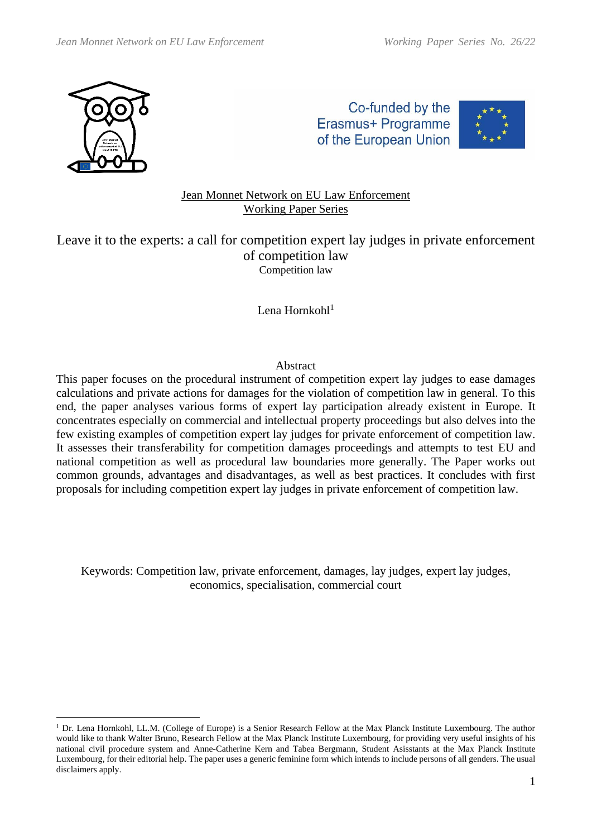

Co-funded by the Erasmus+ Programme of the European Union



# Jean Monnet Network on EU Law Enforcement Working Paper Series

Leave it to the experts: a call for competition expert lay judges in private enforcement of competition law Competition law

Lena Hornkoh $1<sup>1</sup>$ 

#### Abstract

This paper focuses on the procedural instrument of competition expert lay judges to ease damages calculations and private actions for damages for the violation of competition law in general. To this end, the paper analyses various forms of expert lay participation already existent in Europe. It concentrates especially on commercial and intellectual property proceedings but also delves into the few existing examples of competition expert lay judges for private enforcement of competition law. It assesses their transferability for competition damages proceedings and attempts to test EU and national competition as well as procedural law boundaries more generally. The Paper works out common grounds, advantages and disadvantages, as well as best practices. It concludes with first proposals for including competition expert lay judges in private enforcement of competition law.

Keywords: Competition law, private enforcement, damages, lay judges, expert lay judges, economics, specialisation, commercial court

<sup>&</sup>lt;sup>1</sup> Dr. Lena Hornkohl, LL.M. (College of Europe) is a Senior Research Fellow at the Max Planck Institute Luxembourg. The author would like to thank Walter Bruno, Research Fellow at the Max Planck Institute Luxembourg, for providing very useful insights of his national civil procedure system and Anne-Catherine Kern and Tabea Bergmann, Student Asisstants at the Max Planck Institute Luxembourg, for their editorial help. The paper uses a generic feminine form which intends to include persons of all genders. The usual disclaimers apply.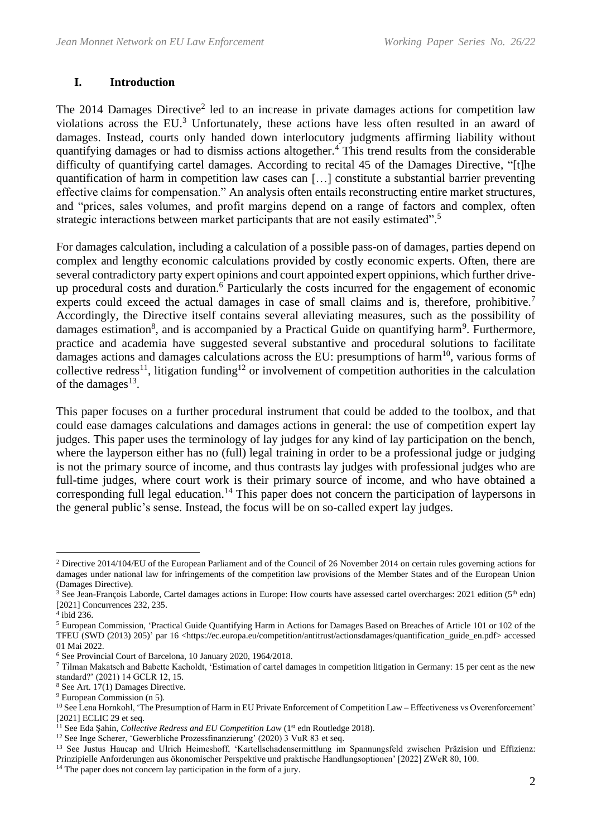### **I. Introduction**

The 2014 Damages Directive<sup>2</sup> led to an increase in private damages actions for competition law violations across the  $EU^3$  Unfortunately, these actions have less often resulted in an award of damages. Instead, courts only handed down interlocutory judgments affirming liability without quantifying damages or had to dismiss actions altogether.<sup>4</sup> This trend results from the considerable difficulty of quantifying cartel damages. According to recital 45 of the Damages Directive, "[t]he quantification of harm in competition law cases can […] constitute a substantial barrier preventing effective claims for compensation." An analysis often entails reconstructing entire market structures, and "prices, sales volumes, and profit margins depend on a range of factors and complex, often strategic interactions between market participants that are not easily estimated".<sup>5</sup>

For damages calculation, including a calculation of a possible pass-on of damages, parties depend on complex and lengthy economic calculations provided by costly economic experts. Often, there are several contradictory party expert opinions and court appointed expert oppinions, which further driveup procedural costs and duration.<sup>6</sup> Particularly the costs incurred for the engagement of economic experts could exceed the actual damages in case of small claims and is, therefore, prohibitive.<sup>7</sup> Accordingly, the Directive itself contains several alleviating measures, such as the possibility of damages estimation<sup>8</sup>, and is accompanied by a Practical Guide on quantifying harm<sup>9</sup>. Furthermore, practice and academia have suggested several substantive and procedural solutions to facilitate damages actions and damages calculations across the EU: presumptions of harm<sup>10</sup>, various forms of collective redress<sup>11</sup>, litigation funding<sup>12</sup> or involvement of competition authorities in the calculation of the damages $^{13}$ .

This paper focuses on a further procedural instrument that could be added to the toolbox, and that could ease damages calculations and damages actions in general: the use of competition expert lay judges. This paper uses the terminology of lay judges for any kind of lay participation on the bench, where the layperson either has no (full) legal training in order to be a professional judge or judging is not the primary source of income, and thus contrasts lay judges with professional judges who are full-time judges, where court work is their primary source of income, and who have obtained a corresponding full legal education.<sup>14</sup> This paper does not concern the participation of laypersons in the general public's sense. Instead, the focus will be on so-called expert lay judges.

<sup>2</sup> Directive 2014/104/EU of the European Parliament and of the Council of 26 November 2014 on certain rules governing actions for damages under national law for infringements of the competition law provisions of the Member States and of the European Union (Damages Directive).

 $3$  See Jean-François Laborde, Cartel damages actions in Europe: How courts have assessed cartel overcharges: 2021 edition (5<sup>th</sup> edn) [2021] Concurrences 232, 235.

<sup>4</sup> ibid 236.

<sup>5</sup> European Commission, 'Practical Guide Quantifying Harm in Actions for Damages Based on Breaches of Article 101 or 102 of the TFEU (SWD (2013) 205)' par 16 <https://ec.europa.eu/competition/antitrust/actionsdamages/quantification\_guide\_en.pdf> accessed 01 Mai 2022.

<sup>6</sup> See Provincial Court of Barcelona, 10 January 2020, 1964/2018.

<sup>7</sup> Tilman Makatsch and Babette Kacholdt, 'Estimation of cartel damages in competition litigation in Germany: 15 per cent as the new standard?' (2021) 14 GCLR 12, 15.

<sup>8</sup> See Art. 17(1) Damages Directive.

<sup>9</sup> European Commission (n 5).

<sup>&</sup>lt;sup>10</sup> See Lena Hornkohl, 'The Presumption of Harm in EU Private Enforcement of Competition Law – Effectiveness vs Overenforcement' [2021] ECLIC 29 et seq.

<sup>&</sup>lt;sup>11</sup> See Eda Sahin, *Collective Redress and EU Competition Law* (1<sup>st</sup> edn Routledge 2018).

<sup>12</sup> See Inge Scherer, 'Gewerbliche Prozessfinanzierung' (2020) 3 VuR 83 et seq.

<sup>13</sup> See Justus Haucap and Ulrich Heimeshoff, 'Kartellschadensermittlung im Spannungsfeld zwischen Präzision und Effizienz: Prinzipielle Anforderungen aus ökonomischer Perspektive und praktische Handlungsoptionen' [2022] ZWeR 80, 100.

<sup>&</sup>lt;sup>14</sup> The paper does not concern lay participation in the form of a jury.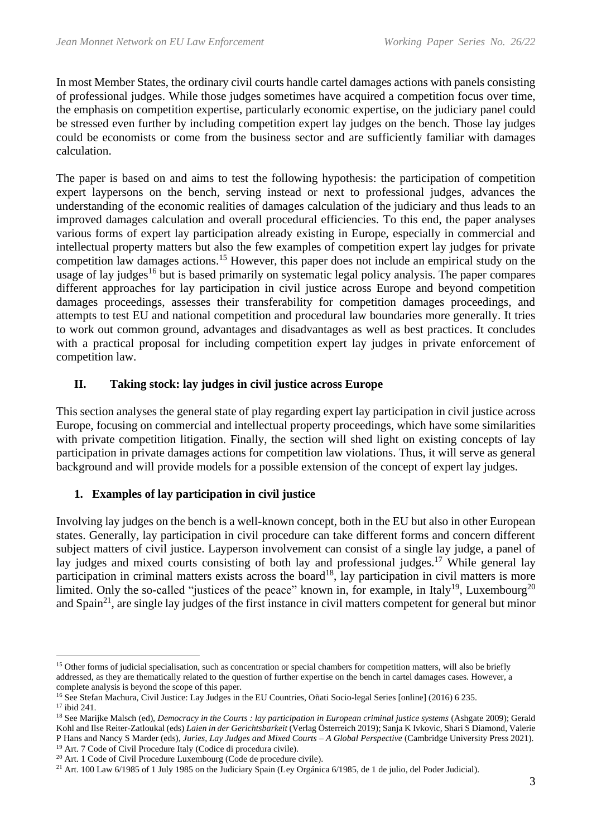In most Member States, the ordinary civil courts handle cartel damages actions with panels consisting of professional judges. While those judges sometimes have acquired a competition focus over time, the emphasis on competition expertise, particularly economic expertise, on the judiciary panel could be stressed even further by including competition expert lay judges on the bench. Those lay judges could be economists or come from the business sector and are sufficiently familiar with damages calculation.

The paper is based on and aims to test the following hypothesis: the participation of competition expert laypersons on the bench, serving instead or next to professional judges, advances the understanding of the economic realities of damages calculation of the judiciary and thus leads to an improved damages calculation and overall procedural efficiencies. To this end, the paper analyses various forms of expert lay participation already existing in Europe, especially in commercial and intellectual property matters but also the few examples of competition expert lay judges for private competition law damages actions.<sup>15</sup> However, this paper does not include an empirical study on the usage of lay judges<sup>16</sup> but is based primarily on systematic legal policy analysis. The paper compares different approaches for lay participation in civil justice across Europe and beyond competition damages proceedings, assesses their transferability for competition damages proceedings, and attempts to test EU and national competition and procedural law boundaries more generally. It tries to work out common ground, advantages and disadvantages as well as best practices. It concludes with a practical proposal for including competition expert lay judges in private enforcement of competition law.

# **II. Taking stock: lay judges in civil justice across Europe**

This section analyses the general state of play regarding expert lay participation in civil justice across Europe, focusing on commercial and intellectual property proceedings, which have some similarities with private competition litigation. Finally, the section will shed light on existing concepts of lay participation in private damages actions for competition law violations. Thus, it will serve as general background and will provide models for a possible extension of the concept of expert lay judges.

# **1. Examples of lay participation in civil justice**

Involving lay judges on the bench is a well-known concept, both in the EU but also in other European states. Generally, lay participation in civil procedure can take different forms and concern different subject matters of civil justice. Layperson involvement can consist of a single lay judge, a panel of lay judges and mixed courts consisting of both lay and professional judges.<sup>17</sup> While general lay participation in criminal matters exists across the board<sup>18</sup>, lay participation in civil matters is more limited. Only the so-called "justices of the peace" known in, for example, in Italy<sup>19</sup>, Luxembourg<sup>20</sup> and Spain<sup>21</sup>, are single lay judges of the first instance in civil matters competent for general but minor

<sup>&</sup>lt;sup>15</sup> Other forms of judicial specialisation, such as concentration or special chambers for competition matters, will also be briefly addressed, as they are thematically related to the question of further expertise on the bench in cartel damages cases. However, a complete analysis is beyond the scope of this paper.

<sup>&</sup>lt;sup>16</sup> See Stefan Machura, Civil Justice: Lay Judges in the EU Countries, Oñati Socio-legal Series [online] (2016) 6 235.

<sup>17</sup> ibid 241.

<sup>18</sup> See Marijke Malsch (ed), *Democracy in the Courts : lay participation in European criminal justice systems* (Ashgate 2009); Gerald Kohl and Ilse Reiter-Zatloukal (eds) *Laien in der Gerichtsbarkeit* (Verlag Österreich 2019); Sanja K Ivkovic, Shari S Diamond, Valerie P Hans and Nancy S Marder (eds), *Juries, Lay Judges and Mixed Courts – A Global Perspective* (Cambridge University Press 2021). <sup>19</sup> Art. 7 Code of Civil Procedure Italy (Codice di procedura civile).

<sup>20</sup> Art. 1 Code of Civil Procedure Luxembourg (Code de procedure civile).

<sup>21</sup> Art. 100 Law 6/1985 of 1 July 1985 on the Judiciary Spain (Ley Orgánica 6/1985, de 1 de julio, del Poder Judicial).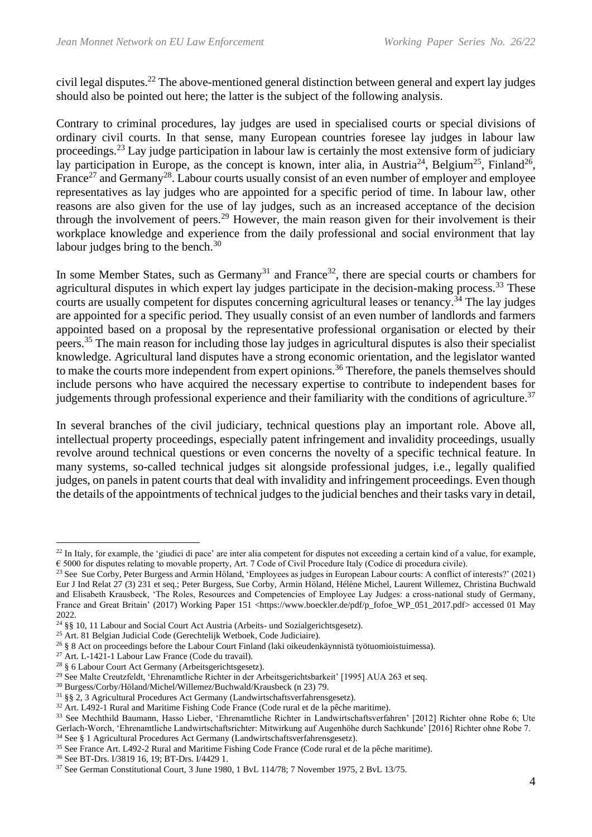civil legal disputes.<sup>22</sup> The above-mentioned general distinction between general and expert lay judges should also be pointed out here; the latter is the subject of the following analysis.

Contrary to criminal procedures, lay judges are used in specialised courts or special divisions of ordinary civil courts. In that sense, many European countries foresee lay judges in labour law proceedings.<sup>23</sup> Lay judge participation in labour law is certainly the most extensive form of judiciary lay participation in Europe, as the concept is known, inter alia, in Austria<sup>24</sup>, Belgium<sup>25</sup>, Finland<sup>26</sup>, France<sup>27</sup> and Germany<sup>28</sup>. Labour courts usually consist of an even number of employer and employee representatives as lay judges who are appointed for a specific period of time. In labour law, other reasons are also given for the use of lay judges, such as an increased acceptance of the decision through the involvement of peers.<sup>29</sup> However, the main reason given for their involvement is their workplace knowledge and experience from the daily professional and social environment that lay labour judges bring to the bench.<sup>30</sup>

In some Member States, such as Germany<sup>31</sup> and France<sup>32</sup>, there are special courts or chambers for agricultural disputes in which expert lay judges participate in the decision-making process.<sup>33</sup> These courts are usually competent for disputes concerning agricultural leases or tenancy.<sup>34</sup> The lay judges are appointed for a specific period. They usually consist of an even number of landlords and farmers appointed based on a proposal by the representative professional organisation or elected by their peers.<sup>35</sup> The main reason for including those lay judges in agricultural disputes is also their specialist knowledge. Agricultural land disputes have a strong economic orientation, and the legislator wanted to make the courts more independent from expert opinions.<sup>36</sup> Therefore, the panels themselves should include persons who have acquired the necessary expertise to contribute to independent bases for judgements through professional experience and their familiarity with the conditions of agriculture.<sup>37</sup>

In several branches of the civil judiciary, technical questions play an important role. Above all, intellectual property proceedings, especially patent infringement and invalidity proceedings, usually revolve around technical questions or even concerns the novelty of a specific technical feature. In many systems, so-called technical judges sit alongside professional judges, i.e., legally qualified judges, on panels in patent courts that deal with invalidity and infringement proceedings. Even though the details of the appointments of technical judges to the judicial benches and their tasks vary in detail,

 $^{22}$  In Italy, for example, the 'giudici di pace' are inter alia competent for disputes not exceeding a certain kind of a value, for example, € 5000 for disputes relating to movable property, Art. 7 Code of Civil Procedure Italy (Codice di procedura civile).

<sup>&</sup>lt;sup>23</sup> See Sue Corby, Peter Burgess and Armin Höland, 'Employees as judges in European Labour courts: A conflict of interests?' (2021) Eur J Ind Relat 27 (3) 231 et seq.; Peter Burgess, Sue Corby, Armin Höland, Hélène Michel, Laurent Willemez, Christina Buchwald and Elisabeth Krausbeck, 'The Roles, Resources and Competencies of Employee Lay Judges: a cross-national study of Germany, France and Great Britain' (2017) Working Paper 151 <https://www.boeckler.de/pdf/p\_fofoe\_WP\_051\_2017.pdf> accessed 01 May 2022

<sup>24</sup> §§ 10, 11 Labour and Social Court Act Austria (Arbeits- und Sozialgerichtsgesetz).

<sup>25</sup> Art. 81 Belgian Judicial Code (Gerechtelijk Wetboek, Code Judiciaire).

<sup>26</sup> § 8 Act on proceedings before the Labour Court Finland (laki oikeudenkäynnistä työtuomioistuimessa).

<sup>27</sup> Art. L-1421-1 Labour Law France (Code du travail).

<sup>28</sup> § 6 Labour Court Act Germany (Arbeitsgerichtsgesetz).

<sup>29</sup> See Malte Creutzfeldt, 'Ehrenamtliche Richter in der Arbeitsgerichtsbarkeit' [1995] AUA 263 et seq.

<sup>30</sup> Burgess/Corby/Höland/Michel/Willemez/Buchwald/Krausbeck (n 23) 79.

<sup>31</sup> §§ 2, 3 Agricultural Procedures Act Germany (Landwirtschaftsverfahrensgesetz).

<sup>32</sup> Art. L492-1 Rural and Maritime Fishing Code France (Code rural et de la pêche maritime).

<sup>33</sup> See Mechthild Baumann, Hasso Lieber, 'Ehrenamtliche Richter in Landwirtschaftsverfahren' [2012] Richter ohne Robe 6; Ute Gerlach-Worch, 'Ehrenamtliche Landwirtschaftsrichter: Mitwirkung auf Augenhöhe durch Sachkunde' [2016] Richter ohne Robe 7. <sup>34</sup> See § 1 Agricultural Procedures Act Germany (Landwirtschaftsverfahrensgesetz).

<sup>35</sup> See France Art. L492-2 Rural and Maritime Fishing Code France (Code rural et de la pêche maritime).

<sup>36</sup> See BT-Drs. I/3819 16, 19; BT-Drs. I/4429 1.

<sup>37</sup> See German Constitutional Court, 3 June 1980, 1 BvL 114/78; 7 November 1975, 2 BvL 13/75.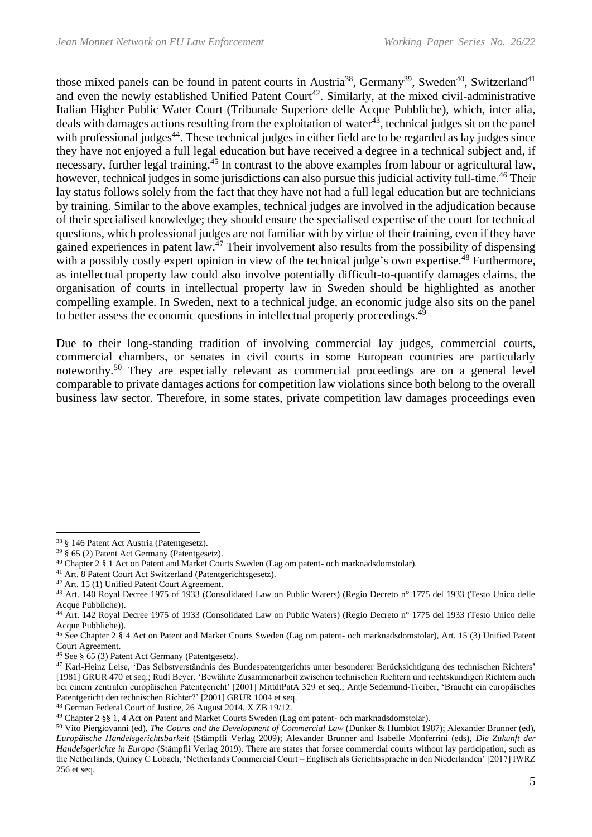those mixed panels can be found in patent courts in Austria<sup>38</sup>, Germany<sup>39</sup>, Sweden<sup>40</sup>, Switzerland<sup>41</sup> and even the newly established Unified Patent Court<sup>42</sup>. Similarly, at the mixed civil-administrative Italian Higher Public Water Court (Tribunale Superiore delle Acque Pubbliche), which, inter alia, deals with damages actions resulting from the exploitation of water $43$ , technical judges sit on the panel with professional judges<sup>44</sup>. These technical judges in either field are to be regarded as lay judges since they have not enjoyed a full legal education but have received a degree in a technical subject and, if necessary, further legal training.<sup>45</sup> In contrast to the above examples from labour or agricultural law, however, technical judges in some jurisdictions can also pursue this judicial activity full-time.<sup>46</sup> Their lay status follows solely from the fact that they have not had a full legal education but are technicians by training. Similar to the above examples, technical judges are involved in the adjudication because of their specialised knowledge; they should ensure the specialised expertise of the court for technical questions, which professional judges are not familiar with by virtue of their training, even if they have gained experiences in patent law.<sup>47</sup> Their involvement also results from the possibility of dispensing with a possibly costly expert opinion in view of the technical judge's own expertise.<sup>48</sup> Furthermore, as intellectual property law could also involve potentially difficult-to-quantify damages claims, the organisation of courts in intellectual property law in Sweden should be highlighted as another compelling example. In Sweden, next to a technical judge, an economic judge also sits on the panel to better assess the economic questions in intellectual property proceedings.<sup>49</sup>

Due to their long-standing tradition of involving commercial lay judges, commercial courts, commercial chambers, or senates in civil courts in some European countries are particularly noteworthy.<sup>50</sup> They are especially relevant as commercial proceedings are on a general level comparable to private damages actions for competition law violations since both belong to the overall business law sector. Therefore, in some states, private competition law damages proceedings even

<sup>38</sup> § 146 Patent Act Austria (Patentgesetz).

<sup>39</sup> § 65 (2) Patent Act Germany (Patentgesetz).

<sup>40</sup> Chapter 2 § 1 Act on Patent and Market Courts Sweden (Lag om patent- och marknadsdomstolar).

<sup>&</sup>lt;sup>41</sup> Art. 8 Patent Court Act Switzerland (Patentgerichtsgesetz).

<sup>42</sup> Art. 15 (1) Unified Patent Court Agreement.

<sup>43</sup> Art. 140 Royal Decree 1975 of 1933 (Consolidated Law on Public Waters) (Regio Decreto n° 1775 del 1933 (Testo Unico delle Acque Pubbliche)).

<sup>44</sup> Art. 142 Royal Decree 1975 of 1933 (Consolidated Law on Public Waters) (Regio Decreto n° 1775 del 1933 (Testo Unico delle Acque Pubbliche)).

<sup>45</sup> See Chapter 2 § 4 Act on Patent and Market Courts Sweden (Lag om patent- och marknadsdomstolar), Art. 15 (3) Unified Patent Court Agreement.

<sup>46</sup> See § 65 (3) Patent Act Germany (Patentgesetz).

<sup>47</sup> Karl-Heinz Leise, 'Das Selbstverständnis des Bundespatentgerichts unter besonderer Berücksichtigung des technischen Richters' [1981] GRUR 470 et seq.; Rudi Beyer, 'Bewährte Zusammenarbeit zwischen technischen Richtern und rechtskundigen Richtern auch bei einem zentralen europäischen Patentgericht' [2001] MittdtPatA 329 et seq.; Antje Sedemund-Treiber, 'Braucht ein europäisches Patentgericht den technischen Richter?' [2001] GRUR 1004 et seq.

<sup>48</sup> German Federal Court of Justice, 26 August 2014, X ZB 19/12.

<sup>49</sup> Chapter 2 §§ 1, 4 Act on Patent and Market Courts Sweden (Lag om patent- och marknadsdomstolar).

<sup>50</sup> Vito Piergiovanni (ed), *The Courts and the Development of Commercial Law* (Dunker & Humblot 1987); Alexander Brunner (ed), *Europäische Handelsgerichtsbarkeit* (Stämpfli Verlag 2009); Alexander Brunner and Isabelle Monferrini (eds), *Die Zukunft der Handelsgerichte in Europa* (Stämpfli Verlag 2019). There are states that forsee commercial courts without lay participation, such as the Netherlands, Quincy C Lobach, 'Netherlands Commercial Court – Englisch als Gerichtssprache in den Niederlanden' [2017] IWRZ 256 et seq.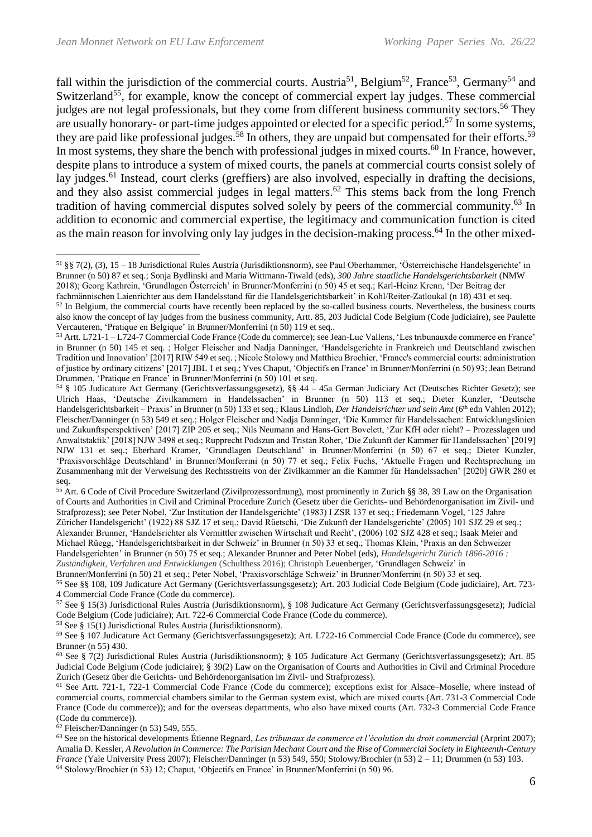fall within the jurisdiction of the commercial courts. Austria<sup>51</sup>, Belgium<sup>52</sup>, France<sup>53</sup>, Germany<sup>54</sup> and Switzerland<sup>55</sup>, for example, know the concept of commercial expert lay judges. These commercial judges are not legal professionals, but they come from different business community sectors.<sup>56</sup> They are usually honorary- or part-time judges appointed or elected for a specific period.<sup>57</sup> In some systems, they are paid like professional judges.<sup>58</sup> In others, they are unpaid but compensated for their efforts.<sup>59</sup> In most systems, they share the bench with professional judges in mixed courts.<sup>60</sup> In France, however, despite plans to introduce a system of mixed courts, the panels at commercial courts consist solely of lay judges.<sup>61</sup> Instead, court clerks (greffiers) are also involved, especially in drafting the decisions, and they also assist commercial judges in legal matters.<sup>62</sup> This stems back from the long French tradition of having commercial disputes solved solely by peers of the commercial community.<sup>63</sup> In addition to economic and commercial expertise, the legitimacy and communication function is cited as the main reason for involving only lay judges in the decision-making process.<sup>64</sup> In the other mixed-

<sup>55</sup> Art. 6 Code of Civil Procedure Switzerland (Zivilprozessordnung), most prominently in Zurich §§ 38, 39 Law on the Organisation of Courts and Authorities in Civil and Criminal Procedure Zurich (Gesetz über die Gerichts- und Behördenorganisation im Zivil- und Strafprozess); see Peter Nobel, 'Zur Institution der Handelsgerichte' (1983) I ZSR 137 et seq.; Friedemann Vogel, '125 Jahre Züricher Handelsgericht' (1922) 88 SJZ 17 et seq.; David Rüetschi, 'Die Zukunft der Handelsgerichte' (2005) 101 SJZ 29 et seq.; Alexander Brunner, 'Handelsrichter als Vermittler zwischen Wirtschaft und Recht', (2006) 102 SJZ 428 et seq.; Isaak Meier and

Michael Rüegg, 'Handelsgerichtsbarkeit in der Schweiz' in Brunner (n 50) 33 et seq.; Thomas Klein, 'Praxis an den Schweizer Handelsgerichten' in Brunner (n 50) 75 et seq.; Alexander Brunner and Peter Nobel (eds), *Handelsgericht Zürich 1866-2016 :* 

*Zuständigkeit, Verfahren und Entwicklungen* (Schulthess 2016); Christoph Leuenberger, 'Grundlagen Schweiz' in

<sup>58</sup> See § 15(1) Jurisdictional Rules Austria (Jurisdiktionsnorm).

 $62$  Fleischer/Danninger (n 53) 549, 555.

<sup>51</sup> §§ 7(2), (3), 15 – 18 Jurisdictional Rules Austria (Jurisdiktionsnorm), see Paul Oberhammer, 'Österreichische Handelsgerichte' in Brunner (n 50) 87 et seq.; Sonja Bydlinski and Maria Wittmann-Tiwald (eds), *300 Jahre staatliche Handelsgerichtsbarkeit* (NMW 2018); Georg Kathrein, 'Grundlagen Österreich' in Brunner/Monferrini (n 50) 45 et seq.; Karl-Heinz Krenn, 'Der Beitrag der

fachmännischen Laienrichter aus dem Handelsstand für die Handelsgerichtsbarkeit' in Kohl/Reiter-Zatloukal (n 18) 431 et seq. <sup>52</sup> In Belgium, the commercial courts have recently been replaced by the so-called business courts. Nevertheless, the business courts also know the concept of lay judges from the business community, Artt. 85, 203 Judicial Code Belgium (Code judiciaire), see Paulette Vercauteren, 'Pratique en Belgique' in Brunner/Monferrini (n 50) 119 et seq..

<sup>53</sup> Artt. L721-1 – L724-7 Commercial Code France (Code du commerce); see Jean-Luc Vallens, 'Les tribunauxde commerce en France' in Brunner (n 50) 145 et seq. ; Holger Fleischer and Nadja Danninger, 'Handelsgerichte in Frankreich und Deutschland zwischen Tradition und Innovation' [2017] RIW 549 et seq. ; Nicole Stolowy and Matthieu Brochier, 'France's commercial courts: administration of justice by ordinary citizens' [2017] JBL 1 et seq.; Yves Chaput, 'Objectifs en France' in Brunner/Monferrini (n 50) 93; Jean Betrand Drummen, 'Pratique en France' in Brunner/Monferrini (n 50) 101 et seq.

<sup>54</sup> § 105 Judicature Act Germany (Gerichtsverfassungsgesetz), §§ 44 – 45a German Judiciary Act (Deutsches Richter Gesetz); see Ulrich Haas, 'Deutsche Zivilkammern in Handelssachen' in Brunner (n 50) 113 et seq.; Dieter Kunzler, 'Deutsche Handelsgerichtsbarkeit – Praxis' in Brunner (n 50) 133 et seq.; Klaus Lindloh, *Der Handelsrichter und sein Amt* (6<sup>th</sup> edn Vahlen 2012); Fleischer/Danninger (n 53) 549 et seq.; Holger Fleischer and Nadja Danninger, 'Die Kammer für Handelssachen: Entwicklungslinien und Zukunftsperspektiven' [2017] ZIP 205 et seq.; Nils Neumann and Hans-Gert Bovelett, 'Zur KfH oder nicht? – Prozesslagen und Anwaltstaktik' [2018] NJW 3498 et seq.; Rupprecht Podszun and Tristan Roher, 'Die Zukunft der Kammer für Handelssachen' [2019] NJW 131 et seq.; Eberhard Kramer, 'Grundlagen Deutschland' in Brunner/Monferrini (n 50) 67 et seq.; Dieter Kunzler, 'Praxisvorschläge Deutschland' in Brunner/Monferrini (n 50) 77 et seq.; Felix Fuchs, 'Aktuelle Fragen und Rechtsprechung im Zusammenhang mit der Verweisung des Rechtsstreits von der Zivilkammer an die Kammer für Handelssachen' [2020] GWR 280 et seq.

Brunner/Monferrini (n 50) 21 et seq.; Peter Nobel, 'Praxisvorschläge Schweiz' in Brunner/Monferrini (n 50) 33 et seq.

<sup>56</sup> See §§ 108, 109 Judicature Act Germany (Gerichtsverfassungsgesetz); Art. 203 Judicial Code Belgium (Code judiciaire), Art. 723- 4 Commercial Code France (Code du commerce).

<sup>57</sup> See § 15(3) Jurisdictional Rules Austria (Jurisdiktionsnorm), § 108 Judicature Act Germany (Gerichtsverfassungsgesetz); Judicial Code Belgium (Code judiciaire); Art. 722-6 Commercial Code France (Code du commerce).

<sup>59</sup> See § 107 Judicature Act Germany (Gerichtsverfassungsgesetz); Art. L722-16 Commercial Code France (Code du commerce), see Brunner (n 55) 430.

<sup>60</sup> See § 7(2) Jurisdictional Rules Austria (Jurisdiktionsnorm); § 105 Judicature Act Germany (Gerichtsverfassungsgesetz); Art. 85 Judicial Code Belgium (Code judiciaire); § 39(2) Law on the Organisation of Courts and Authorities in Civil and Criminal Procedure Zurich (Gesetz über die Gerichts- und Behördenorganisation im Zivil- und Strafprozess).

<sup>61</sup> See Artt. 721-1, 722-1 Commercial Code France (Code du commerce); exceptions exist for Alsace–Moselle, where instead of commercial courts, commercial chambers similar to the German system exist, which are mixed courts (Art. 731-3 Commercial Code France (Code du commerce)); and for the overseas departments, who also have mixed courts (Art. 732-3 Commercial Code France (Code du commerce)).

<sup>63</sup> See on the historical developments Étienne Regnard, *Les tribunaux de commerce et l'écolution du droit commercial* (Arprint 2007); Amalia D. Kessler, *A Revolution in Commerce: The Parisian Mechant Court and the Rise of Commercial Society in Eighteenth-Century France* (Yale University Press 2007); Fleischer/Danninger (n 53) 549, 550; Stolowy/Brochier (n 53) 2 – 11; Drummen (n 53) 103. <sup>64</sup> Stolowy/Brochier (n 53) 12; Chaput, 'Objectifs en France' in Brunner/Monferrini (n 50) 96.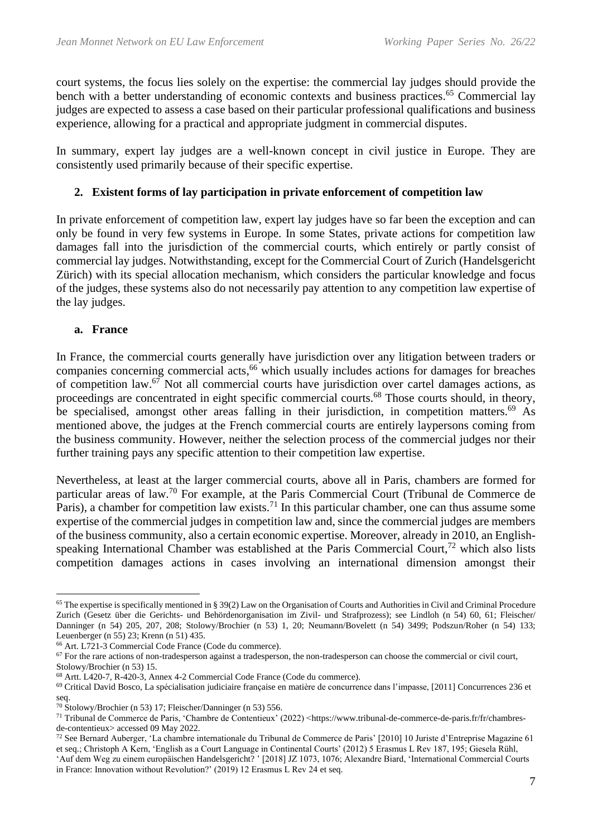court systems, the focus lies solely on the expertise: the commercial lay judges should provide the bench with a better understanding of economic contexts and business practices.<sup>65</sup> Commercial lay judges are expected to assess a case based on their particular professional qualifications and business experience, allowing for a practical and appropriate judgment in commercial disputes.

In summary, expert lay judges are a well-known concept in civil justice in Europe. They are consistently used primarily because of their specific expertise.

# **2. Existent forms of lay participation in private enforcement of competition law**

In private enforcement of competition law, expert lay judges have so far been the exception and can only be found in very few systems in Europe. In some States, private actions for competition law damages fall into the jurisdiction of the commercial courts, which entirely or partly consist of commercial lay judges. Notwithstanding, except for the Commercial Court of Zurich (Handelsgericht Zürich) with its special allocation mechanism, which considers the particular knowledge and focus of the judges, these systems also do not necessarily pay attention to any competition law expertise of the lay judges.

### **a. France**

In France, the commercial courts generally have jurisdiction over any litigation between traders or companies concerning commercial acts, <sup>66</sup> which usually includes actions for damages for breaches of competition law. $67$  Not all commercial courts have jurisdiction over cartel damages actions, as proceedings are concentrated in eight specific commercial courts.<sup>68</sup> Those courts should, in theory, be specialised, amongst other areas falling in their jurisdiction, in competition matters.<sup>69</sup> As mentioned above, the judges at the French commercial courts are entirely laypersons coming from the business community. However, neither the selection process of the commercial judges nor their further training pays any specific attention to their competition law expertise.

Nevertheless, at least at the larger commercial courts, above all in Paris, chambers are formed for particular areas of law.<sup>70</sup> For example, at the Paris Commercial Court (Tribunal de Commerce de Paris), a chamber for competition law exists.<sup>71</sup> In this particular chamber, one can thus assume some expertise of the commercial judges in competition law and, since the commercial judges are members of the business community, also a certain economic expertise. Moreover, already in 2010, an Englishspeaking International Chamber was established at the Paris Commercial Court, $72$  which also lists competition damages actions in cases involving an international dimension amongst their

<sup>65</sup> The expertise is specifically mentioned in § 39(2) Law on the Organisation of Courts and Authorities in Civil and Criminal Procedure Zurich (Gesetz über die Gerichts- und Behördenorganisation im Zivil- und Strafprozess); see Lindloh (n 54) 60, 61; Fleischer/ Danninger (n 54) 205, 207, 208; Stolowy/Brochier (n 53) 1, 20; Neumann/Bovelett (n 54) 3499; Podszun/Roher (n 54) 133; Leuenberger (n 55) 23; Krenn (n 51) 435.

<sup>66</sup> Art. L721-3 Commercial Code France (Code du commerce).

<sup>&</sup>lt;sup>67</sup> For the rare actions of non-tradesperson against a tradesperson, the non-tradesperson can choose the commercial or civil court, Stolowy/Brochier (n 53) 15.

<sup>68</sup> Artt. L420-7, R-420-3, Annex 4-2 Commercial Code France (Code du commerce).

<sup>69</sup> Critical David Bosco, La spécialisation judiciaire française en matière de concurrence dans l'impasse, [2011] Concurrences 236 et seq.

<sup>70</sup> Stolowy/Brochier (n 53) 17; Fleischer/Danninger (n 53) 556.

<sup>71</sup> Tribunal de Commerce de Paris, 'Chambre de Contentieux' (2022) <https://www.tribunal-de-commerce-de-paris.fr/fr/chambresde-contentieux> accessed 09 May 2022.

<sup>72</sup> See Bernard Auberger, 'La chambre internationale du Tribunal de Commerce de Paris' [2010] 10 Juriste d'Entreprise Magazine 61 et seq.; Christoph A Kern, 'English as a Court Language in Continental Courts' (2012) 5 Erasmus L Rev 187, 195; Giesela Rühl, 'Auf dem Weg zu einem europäischen Handelsgericht? ' [2018] JZ 1073, 1076; Alexandre Biard, 'International Commercial Courts in France: Innovation without Revolution?' (2019) 12 Erasmus L Rev 24 et seq.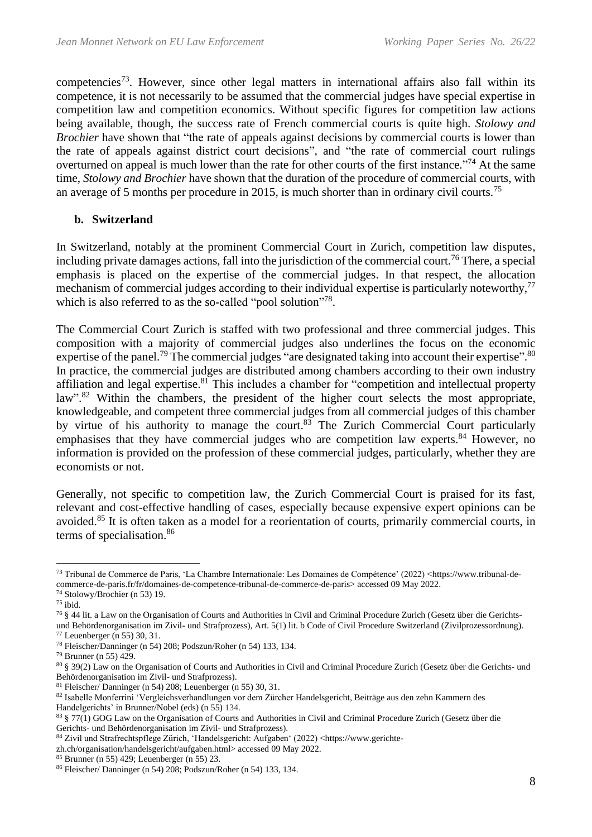competencies<sup>73</sup>. However, since other legal matters in international affairs also fall within its competence, it is not necessarily to be assumed that the commercial judges have special expertise in competition law and competition economics. Without specific figures for competition law actions being available, though, the success rate of French commercial courts is quite high. *Stolowy and Brochier* have shown that "the rate of appeals against decisions by commercial courts is lower than the rate of appeals against district court decisions", and "the rate of commercial court rulings overturned on appeal is much lower than the rate for other courts of the first instance."<sup>74</sup> At the same time, *Stolowy and Brochier* have shown that the duration of the procedure of commercial courts, with an average of 5 months per procedure in 2015, is much shorter than in ordinary civil courts.<sup>75</sup>

### **b. Switzerland**

In Switzerland, notably at the prominent Commercial Court in Zurich, competition law disputes, including private damages actions, fall into the jurisdiction of the commercial court.<sup>76</sup> There, a special emphasis is placed on the expertise of the commercial judges. In that respect, the allocation mechanism of commercial judges according to their individual expertise is particularly noteworthy,<sup>77</sup> which is also referred to as the so-called "pool solution"<sup>78</sup>.

The Commercial Court Zurich is staffed with two professional and three commercial judges. This composition with a majority of commercial judges also underlines the focus on the economic expertise of the panel.<sup>79</sup> The commercial judges "are designated taking into account their expertise".<sup>80</sup> In practice, the commercial judges are distributed among chambers according to their own industry affiliation and legal expertise.<sup>81</sup> This includes a chamber for "competition and intellectual property law".<sup>82</sup> Within the chambers, the president of the higher court selects the most appropriate, knowledgeable, and competent three commercial judges from all commercial judges of this chamber by virtue of his authority to manage the court.<sup>83</sup> The Zurich Commercial Court particularly emphasises that they have commercial judges who are competition law experts.<sup>84</sup> However, no information is provided on the profession of these commercial judges, particularly, whether they are economists or not.

Generally, not specific to competition law, the Zurich Commercial Court is praised for its fast, relevant and cost-effective handling of cases, especially because expensive expert opinions can be avoided.<sup>85</sup> It is often taken as a model for a reorientation of courts, primarily commercial courts, in terms of specialisation.<sup>86</sup>

<sup>76</sup> § 44 lit. a Law on the Organisation of Courts and Authorities in Civil and Criminal Procedure Zurich (Gesetz über die Gerichtsund Behördenorganisation im Zivil- und Strafprozess), Art. 5(1) lit. b Code of Civil Procedure Switzerland (Zivilprozessordnung). <sup>77</sup> Leuenberger (n 55) 30, 31.

<sup>85</sup> Brunner (n 55) 429; Leuenberger (n 55) 23.

<sup>73</sup> Tribunal de Commerce de Paris, 'La Chambre Internationale: Les Domaines de Compétence' (2022) <https://www.tribunal-decommerce-de-paris.fr/fr/domaines-de-competence-tribunal-de-commerce-de-paris> accessed 09 May 2022.

<sup>74</sup> Stolowy/Brochier (n 53) 19.

<sup>75</sup> ibid.

<sup>78</sup> Fleischer/Danninger (n 54) 208; Podszun/Roher (n 54) 133, 134.

<sup>79</sup> Brunner (n 55) 429.

<sup>80</sup> § 39(2) Law on the Organisation of Courts and Authorities in Civil and Criminal Procedure Zurich (Gesetz über die Gerichts- und Behördenorganisation im Zivil- und Strafprozess).

<sup>81</sup> Fleischer/ Danninger (n 54) 208; Leuenberger (n 55) 30, 31.

<sup>82</sup> Isabelle Monferrini 'Vergleichsverhandlungen vor dem Zürcher Handelsgericht, Beiträge aus den zehn Kammern des Handelgerichts' in Brunner/Nobel (eds) (n 55) 134.

<sup>83 § 77(1)</sup> GOG Law on the Organisation of Courts and Authorities in Civil and Criminal Procedure Zurich (Gesetz über die Gerichts- und Behördenorganisation im Zivil- und Strafprozess).

<sup>84</sup> Zivil und Strafrechtspflege Zürich, 'Handelsgericht: Aufgaben' (2022) <https://www.gerichte-

zh.ch/organisation/handelsgericht/aufgaben.html> accessed 09 May 2022.

<sup>86</sup> Fleischer/ Danninger (n 54) 208; Podszun/Roher (n 54) 133, 134.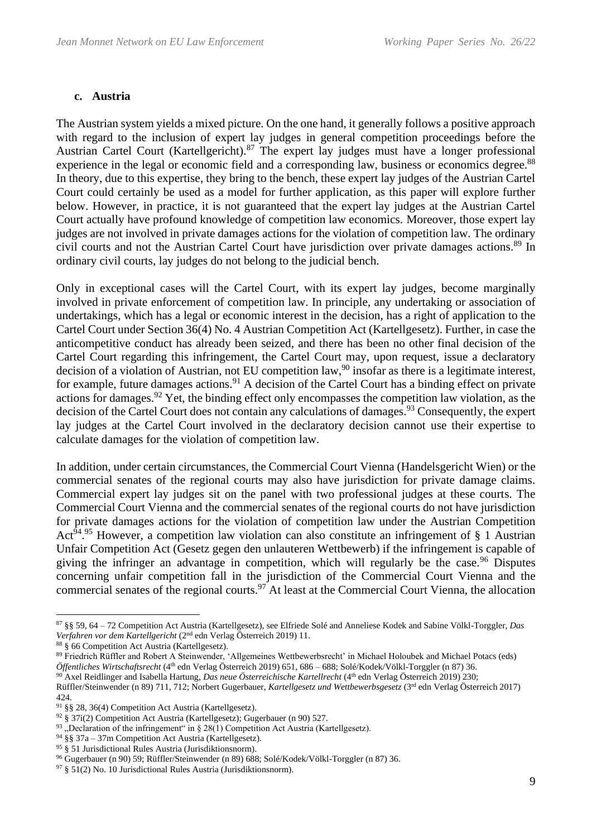### **c. Austria**

The Austrian system yields a mixed picture. On the one hand, it generally follows a positive approach with regard to the inclusion of expert lay judges in general competition proceedings before the Austrian Cartel Court (Kartellgericht).<sup>87</sup> The expert lay judges must have a longer professional experience in the legal or economic field and a corresponding law, business or economics degree.<sup>88</sup> In theory, due to this expertise, they bring to the bench, these expert lay judges of the Austrian Cartel Court could certainly be used as a model for further application, as this paper will explore further below. However, in practice, it is not guaranteed that the expert lay judges at the Austrian Cartel Court actually have profound knowledge of competition law economics. Moreover, those expert lay judges are not involved in private damages actions for the violation of competition law. The ordinary civil courts and not the Austrian Cartel Court have jurisdiction over private damages actions. <sup>89</sup> In ordinary civil courts, lay judges do not belong to the judicial bench.

Only in exceptional cases will the Cartel Court, with its expert lay judges, become marginally involved in private enforcement of competition law. In principle, any undertaking or association of undertakings, which has a legal or economic interest in the decision, has a right of application to the Cartel Court under Section 36(4) No. 4 Austrian Competition Act (Kartellgesetz). Further, in case the anticompetitive conduct has already been seized, and there has been no other final decision of the Cartel Court regarding this infringement, the Cartel Court may, upon request, issue a declaratory decision of a violation of Austrian, not EU competition law,<sup>90</sup> insofar as there is a legitimate interest, for example, future damages actions.<sup>91</sup> A decision of the Cartel Court has a binding effect on private actions for damages.<sup>92</sup> Yet, the binding effect only encompasses the competition law violation, as the decision of the Cartel Court does not contain any calculations of damages.<sup>93</sup> Consequently, the expert lay judges at the Cartel Court involved in the declaratory decision cannot use their expertise to calculate damages for the violation of competition law.

In addition, under certain circumstances, the Commercial Court Vienna (Handelsgericht Wien) or the commercial senates of the regional courts may also have jurisdiction for private damage claims. Commercial expert lay judges sit on the panel with two professional judges at these courts. The Commercial Court Vienna and the commercial senates of the regional courts do not have jurisdiction for private damages actions for the violation of competition law under the Austrian Competition Act<sup>94,95</sup> However, a competition law violation can also constitute an infringement of § 1 Austrian Unfair Competition Act (Gesetz gegen den unlauteren Wettbewerb) if the infringement is capable of giving the infringer an advantage in competition, which will regularly be the case.<sup>96</sup> Disputes concerning unfair competition fall in the jurisdiction of the Commercial Court Vienna and the commercial senates of the regional courts.<sup>97</sup> At least at the Commercial Court Vienna, the allocation

<sup>87</sup> §§ 59, 64 – 72 Competition Act Austria (Kartellgesetz), see Elfriede Solé and Anneliese Kodek and Sabine Völkl-Torggler, *Das Verfahren vor dem Kartellgericht* (2nd edn Verlag Österreich 2019) 11.

<sup>88</sup> § 66 Competition Act Austria (Kartellgesetz).

<sup>89</sup> Friedrich Rüffler and Robert A Steinwender, 'Allgemeines Wettbewerbsrecht' in Michael Holoubek and Michael Potacs (eds) *Öffentliches Wirtschaftsrecht* (4th edn Verlag Österreich 2019) 651, 686 – 688; Solé/Kodek/Völkl-Torggler (n 87) 36.

<sup>90</sup> Axel Reidlinger and Isabella Hartung, *Das neue Österreichische Kartellrecht* (4th edn Verlag Österreich 2019) 230; Rüffler/Steinwender (n 89) 711, 712; Norbert Gugerbauer, *Kartellgesetz und Wettbewerbsgesetz* (3rd edn Verlag Österreich 2017) 424.

<sup>91</sup> §§ 28, 36(4) Competition Act Austria (Kartellgesetz).

<sup>92</sup> § 37i(2) Competition Act Austria (Kartellgesetz); Gugerbauer (n 90) 527.

<sup>&</sup>lt;sup>93</sup> "Declaration of the infringement" in § 28(1) Competition Act Austria (Kartellgesetz).

<sup>94</sup> §§ 37a – 37m Competition Act Austria (Kartellgesetz).

<sup>95</sup> § 51 Jurisdictional Rules Austria (Jurisdiktionsnorm).

<sup>96</sup> Gugerbauer (n 90) 59; Rüffler/Steinwender (n 89) 688; Solé/Kodek/Völkl-Torggler (n 87) 36.

<sup>97</sup> § 51(2) No. 10 Jurisdictional Rules Austria (Jurisdiktionsnorm).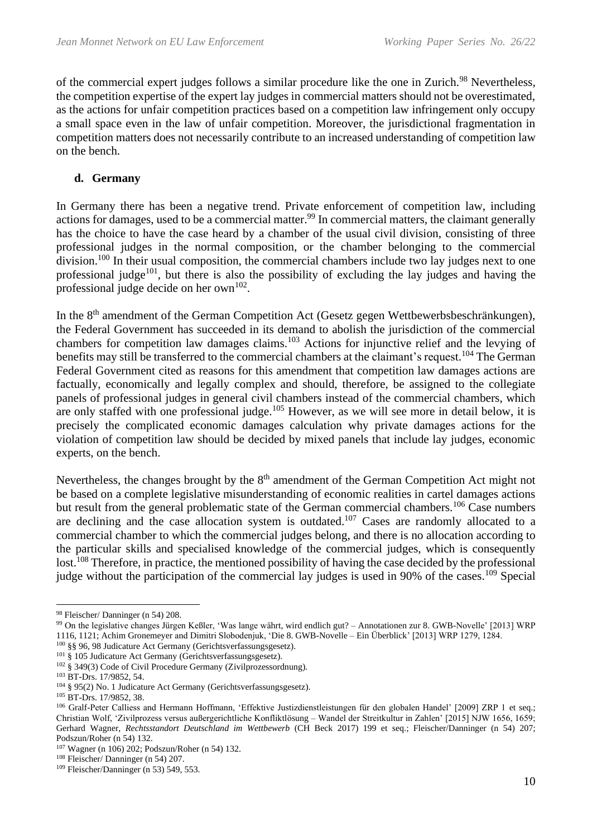of the commercial expert judges follows a similar procedure like the one in Zurich.<sup>98</sup> Nevertheless, the competition expertise of the expert lay judges in commercial matters should not be overestimated, as the actions for unfair competition practices based on a competition law infringement only occupy a small space even in the law of unfair competition. Moreover, the jurisdictional fragmentation in competition matters does not necessarily contribute to an increased understanding of competition law on the bench.

### **d. Germany**

In Germany there has been a negative trend. Private enforcement of competition law, including actions for damages, used to be a commercial matter.<sup>99</sup> In commercial matters, the claimant generally has the choice to have the case heard by a chamber of the usual civil division, consisting of three professional judges in the normal composition, or the chamber belonging to the commercial division.<sup>100</sup> In their usual composition, the commercial chambers include two lay judges next to one professional judge<sup>101</sup>, but there is also the possibility of excluding the lay judges and having the professional judge decide on her own $^{102}$ .

In the 8<sup>th</sup> amendment of the German Competition Act (Gesetz gegen Wettbewerbsbeschränkungen), the Federal Government has succeeded in its demand to abolish the jurisdiction of the commercial chambers for competition law damages claims.<sup>103</sup> Actions for injunctive relief and the levying of benefits may still be transferred to the commercial chambers at the claimant's request.<sup>104</sup> The German Federal Government cited as reasons for this amendment that competition law damages actions are factually, economically and legally complex and should, therefore, be assigned to the collegiate panels of professional judges in general civil chambers instead of the commercial chambers, which are only staffed with one professional judge.<sup>105</sup> However, as we will see more in detail below, it is precisely the complicated economic damages calculation why private damages actions for the violation of competition law should be decided by mixed panels that include lay judges, economic experts, on the bench.

Nevertheless, the changes brought by the 8<sup>th</sup> amendment of the German Competition Act might not be based on a complete legislative misunderstanding of economic realities in cartel damages actions but result from the general problematic state of the German commercial chambers.<sup>106</sup> Case numbers are declining and the case allocation system is outdated.<sup>107</sup> Cases are randomly allocated to a commercial chamber to which the commercial judges belong, and there is no allocation according to the particular skills and specialised knowledge of the commercial judges, which is consequently lost.<sup>108</sup> Therefore, in practice, the mentioned possibility of having the case decided by the professional judge without the participation of the commercial lay judges is used in 90% of the cases.<sup>109</sup> Special

<sup>98</sup> Fleischer/ Danninger (n 54) 208.

<sup>99</sup> On the legislative changes Jürgen Keßler, 'Was lange währt, wird endlich gut? – Annotationen zur 8. GWB-Novelle' [2013] WRP 1116, 1121; Achim Gronemeyer and Dimitri Slobodenjuk, 'Die 8. GWB-Novelle – Ein Überblick' [2013] WRP 1279, 1284.

<sup>100</sup> §§ 96, 98 Judicature Act Germany (Gerichtsverfassungsgesetz).

<sup>101</sup> § 105 Judicature Act Germany (Gerichtsverfassungsgesetz).

<sup>102</sup> § 349(3) Code of Civil Procedure Germany (Zivilprozessordnung).

<sup>103</sup> BT-Drs. 17/9852, 54.

<sup>104</sup> § 95(2) No. 1 Judicature Act Germany (Gerichtsverfassungsgesetz).

<sup>105</sup> BT-Drs. 17/9852, 38.

<sup>106</sup> Gralf-Peter Calliess and Hermann Hoffmann, 'Effektive Justizdienstleistungen für den globalen Handel' [2009] ZRP 1 et seq.; Christian Wolf, 'Zivilprozess versus außergerichtliche Konfliktlösung – Wandel der Streitkultur in Zahlen' [2015] NJW 1656, 1659; Gerhard Wagner, *Rechtsstandort Deutschland im Wettbewerb* (CH Beck 2017) 199 et seq.; Fleischer/Danninger (n 54) 207; Podszun/Roher (n 54) 132.

<sup>107</sup> Wagner (n 106) 202; Podszun/Roher (n 54) 132.

<sup>108</sup> Fleischer/ Danninger (n 54) 207.

<sup>109</sup> Fleischer/Danninger (n 53) 549, 553.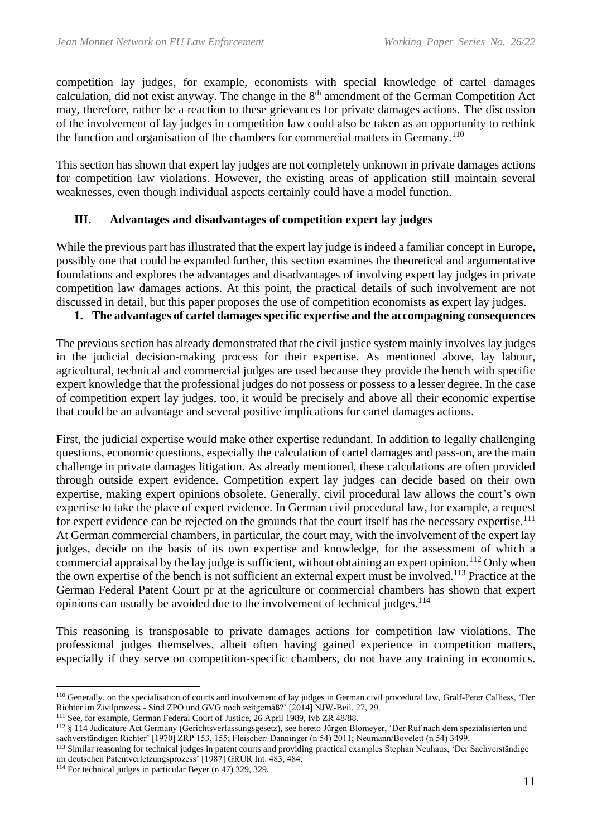competition lay judges, for example, economists with special knowledge of cartel damages calculation, did not exist anyway. The change in the  $8<sup>th</sup>$  amendment of the German Competition Act may, therefore, rather be a reaction to these grievances for private damages actions. The discussion of the involvement of lay judges in competition law could also be taken as an opportunity to rethink the function and organisation of the chambers for commercial matters in Germany.<sup>110</sup>

This section has shown that expert lay judges are not completely unknown in private damages actions for competition law violations. However, the existing areas of application still maintain several weaknesses, even though individual aspects certainly could have a model function.

### **III. Advantages and disadvantages of competition expert lay judges**

While the previous part has illustrated that the expert lay judge is indeed a familiar concept in Europe, possibly one that could be expanded further, this section examines the theoretical and argumentative foundations and explores the advantages and disadvantages of involving expert lay judges in private competition law damages actions. At this point, the practical details of such involvement are not discussed in detail, but this paper proposes the use of competition economists as expert lay judges.

### **1. The advantages of cartel damages specific expertise and the accompagning consequences**

The previous section has already demonstrated that the civil justice system mainly involves lay judges in the judicial decision-making process for their expertise. As mentioned above, lay labour, agricultural, technical and commercial judges are used because they provide the bench with specific expert knowledge that the professional judges do not possess or possess to a lesser degree. In the case of competition expert lay judges, too, it would be precisely and above all their economic expertise that could be an advantage and several positive implications for cartel damages actions.

First, the judicial expertise would make other expertise redundant. In addition to legally challenging questions, economic questions, especially the calculation of cartel damages and pass-on, are the main challenge in private damages litigation. As already mentioned, these calculations are often provided through outside expert evidence. Competition expert lay judges can decide based on their own expertise, making expert opinions obsolete. Generally, civil procedural law allows the court's own expertise to take the place of expert evidence. In German civil procedural law, for example, a request for expert evidence can be rejected on the grounds that the court itself has the necessary expertise.<sup>111</sup> At German commercial chambers, in particular, the court may, with the involvement of the expert lay judges, decide on the basis of its own expertise and knowledge, for the assessment of which a commercial appraisal by the lay judge is sufficient, without obtaining an expert opinion.<sup>112</sup> Only when the own expertise of the bench is not sufficient an external expert must be involved.<sup>113</sup> Practice at the German Federal Patent Court pr at the agriculture or commercial chambers has shown that expert opinions can usually be avoided due to the involvement of technical judges.<sup>114</sup>

This reasoning is transposable to private damages actions for competition law violations. The professional judges themselves, albeit often having gained experience in competition matters, especially if they serve on competition-specific chambers, do not have any training in economics.

<sup>110</sup> Generally, on the specialisation of courts and involvement of lay judges in German civil procedural law, Gralf-Peter Calliess, 'Der Richter im Zivilprozess - Sind ZPO und GVG noch zeitgemäß?' [2014] NJW-Beil. 27, 29.

<sup>111</sup> See, for example, German Federal Court of Justice, 26 April 1989, Ivb ZR 48/88.

<sup>112</sup> § 114 Judicature Act Germany (Gerichtsverfassungsgesetz), see hereto Jürgen Blomeyer, 'Der Ruf nach dem spezialisierten und sachverständigen Richter' [1970] ZRP 153, 155; Fleischer/ Danninger (n 54) 2011; Neumann/Bovelett (n 54) 3499.

<sup>113</sup> Similar reasoning for technical judges in patent courts and providing practical examples Stephan Neuhaus, 'Der Sachverständige im deutschen Patentverletzungsprozess' [1987] GRUR Int. 483, 484.

<sup>114</sup> For technical judges in particular Beyer (n 47) 329, 329.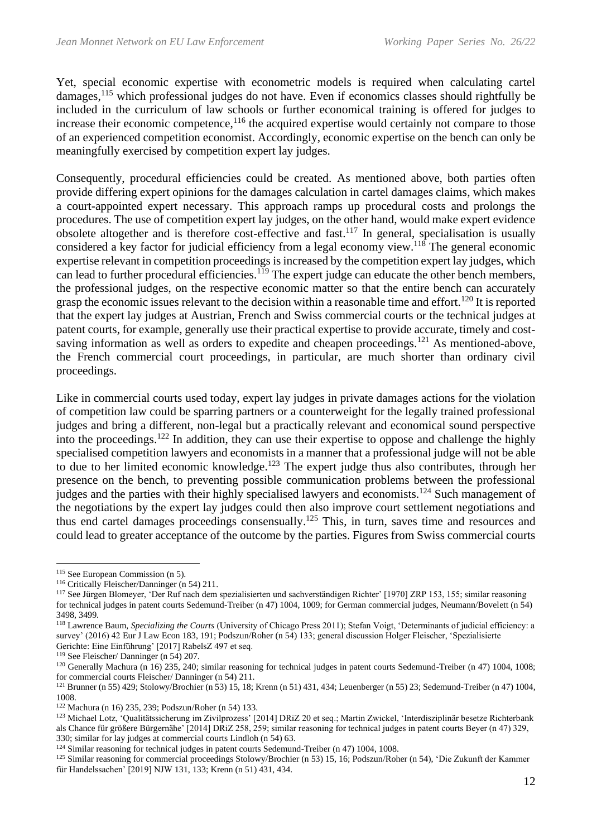Yet, special economic expertise with econometric models is required when calculating cartel damages, <sup>115</sup> which professional judges do not have. Even if economics classes should rightfully be included in the curriculum of law schools or further economical training is offered for judges to increase their economic competence,<sup>116</sup> the acquired expertise would certainly not compare to those of an experienced competition economist. Accordingly, economic expertise on the bench can only be meaningfully exercised by competition expert lay judges.

Consequently, procedural efficiencies could be created. As mentioned above, both parties often provide differing expert opinions for the damages calculation in cartel damages claims, which makes a court-appointed expert necessary. This approach ramps up procedural costs and prolongs the procedures. The use of competition expert lay judges, on the other hand, would make expert evidence obsolete altogether and is therefore cost-effective and fast.<sup>117</sup> In general, specialisation is usually considered a key factor for judicial efficiency from a legal economy view.<sup>118</sup> The general economic expertise relevant in competition proceedings is increased by the competition expert lay judges, which can lead to further procedural efficiencies.<sup>119</sup> The expert judge can educate the other bench members, the professional judges, on the respective economic matter so that the entire bench can accurately grasp the economic issues relevant to the decision within a reasonable time and effort.<sup>120</sup> It is reported that the expert lay judges at Austrian, French and Swiss commercial courts or the technical judges at patent courts, for example, generally use their practical expertise to provide accurate, timely and costsaving information as well as orders to expedite and cheapen proceedings.<sup>121</sup> As mentioned-above, the French commercial court proceedings, in particular, are much shorter than ordinary civil proceedings.

Like in commercial courts used today, expert lay judges in private damages actions for the violation of competition law could be sparring partners or a counterweight for the legally trained professional judges and bring a different, non-legal but a practically relevant and economical sound perspective into the proceedings. <sup>122</sup> In addition, they can use their expertise to oppose and challenge the highly specialised competition lawyers and economists in a manner that a professional judge will not be able to due to her limited economic knowledge.<sup>123</sup> The expert judge thus also contributes, through her presence on the bench, to preventing possible communication problems between the professional judges and the parties with their highly specialised lawyers and economists.<sup>124</sup> Such management of the negotiations by the expert lay judges could then also improve court settlement negotiations and thus end cartel damages proceedings consensually.<sup>125</sup> This, in turn, saves time and resources and could lead to greater acceptance of the outcome by the parties. Figures from Swiss commercial courts

<sup>&</sup>lt;sup>115</sup> See European Commission (n 5).

<sup>116</sup> Critically Fleischer/Danninger (n 54) 211.

<sup>117</sup> See Jürgen Blomeyer, 'Der Ruf nach dem spezialisierten und sachverständigen Richter' [1970] ZRP 153, 155; similar reasoning for technical judges in patent courts Sedemund-Treiber (n 47) 1004, 1009; for German commercial judges, Neumann/Bovelett (n 54) 3498, 3499.

<sup>118</sup> Lawrence Baum, *Specializing the Courts* (University of Chicago Press 2011); Stefan Voigt, 'Determinants of judicial efficiency: a survey' (2016) 42 Eur J Law Econ 183, 191; Podszun/Roher (n 54) 133; general discussion Holger Fleischer, 'Spezialisierte Gerichte: Eine Einführung' [2017] RabelsZ 497 et seq.

<sup>119</sup> See Fleischer/ Danninger (n 54) 207.

<sup>&</sup>lt;sup>120</sup> Generally Machura (n 16) 235, 240; similar reasoning for technical judges in patent courts Sedemund-Treiber (n 47) 1004, 1008; for commercial courts Fleischer/ Danninger (n 54) 211.

<sup>121</sup> Brunner (n 55) 429; Stolowy/Brochier (n 53) 15, 18; Krenn (n 51) 431, 434; Leuenberger (n 55) 23; Sedemund-Treiber (n 47) 1004, 1008.

<sup>122</sup> Machura (n 16) 235, 239; Podszun/Roher (n 54) 133.

<sup>123</sup> Michael Lotz, 'Qualitätssicherung im Zivilprozess' [2014] DRiZ 20 et seq.; Martin Zwickel, 'Interdisziplinär besetze Richterbank als Chance für größere Bürgernähe' [2014] DRiZ 258, 259; similar reasoning for technical judges in patent courts Beyer (n 47) 329, 330; similar for lay judges at commercial courts Lindloh (n 54) 63.

<sup>&</sup>lt;sup>124</sup> Similar reasoning for technical judges in patent courts Sedemund-Treiber (n 47) 1004, 1008.

<sup>125</sup> Similar reasoning for commercial proceedings Stolowy/Brochier (n 53) 15, 16; Podszun/Roher (n 54), 'Die Zukunft der Kammer für Handelssachen' [2019] NJW 131, 133; Krenn (n 51) 431, 434.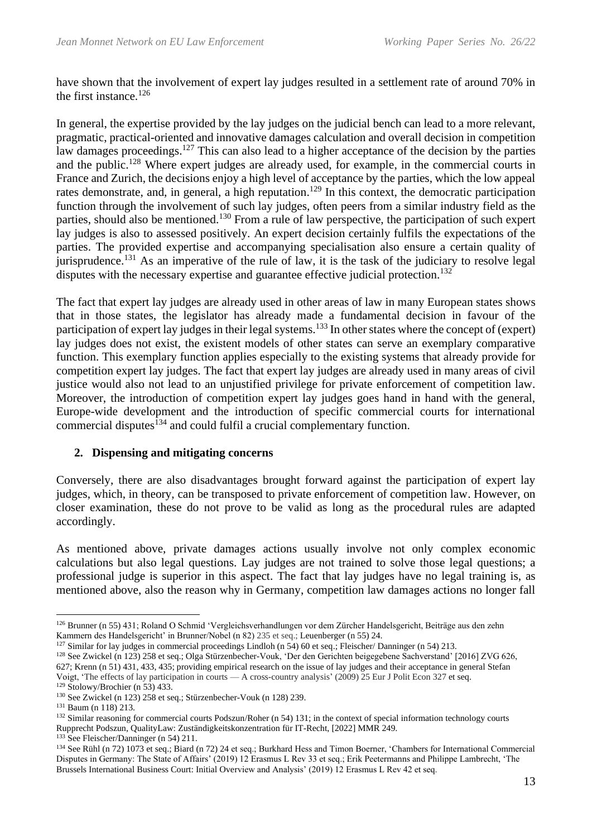have shown that the involvement of expert lay judges resulted in a settlement rate of around 70% in the first instance. $126$ 

In general, the expertise provided by the lay judges on the judicial bench can lead to a more relevant, pragmatic, practical-oriented and innovative damages calculation and overall decision in competition law damages proceedings.<sup>127</sup> This can also lead to a higher acceptance of the decision by the parties and the public.<sup>128</sup> Where expert judges are already used, for example, in the commercial courts in France and Zurich, the decisions enjoy a high level of acceptance by the parties, which the low appeal rates demonstrate, and, in general, a high reputation.<sup>129</sup> In this context, the democratic participation function through the involvement of such lay judges, often peers from a similar industry field as the parties, should also be mentioned.<sup>130</sup> From a rule of law perspective, the participation of such expert lay judges is also to assessed positively. An expert decision certainly fulfils the expectations of the parties. The provided expertise and accompanying specialisation also ensure a certain quality of jurisprudence.<sup>131</sup> As an imperative of the rule of law, it is the task of the judiciary to resolve legal disputes with the necessary expertise and guarantee effective judicial protection.<sup>132</sup>

The fact that expert lay judges are already used in other areas of law in many European states shows that in those states, the legislator has already made a fundamental decision in favour of the participation of expert lay judges in their legal systems.<sup>133</sup> In other states where the concept of (expert) lay judges does not exist, the existent models of other states can serve an exemplary comparative function. This exemplary function applies especially to the existing systems that already provide for competition expert lay judges. The fact that expert lay judges are already used in many areas of civil justice would also not lead to an unjustified privilege for private enforcement of competition law. Moreover, the introduction of competition expert lay judges goes hand in hand with the general, Europe-wide development and the introduction of specific commercial courts for international commercial disputes $134$  and could fulfil a crucial complementary function.

### **2. Dispensing and mitigating concerns**

Conversely, there are also disadvantages brought forward against the participation of expert lay judges, which, in theory, can be transposed to private enforcement of competition law. However, on closer examination, these do not prove to be valid as long as the procedural rules are adapted accordingly.

As mentioned above, private damages actions usually involve not only complex economic calculations but also legal questions. Lay judges are not trained to solve those legal questions; a professional judge is superior in this aspect. The fact that lay judges have no legal training is, as mentioned above, also the reason why in Germany, competition law damages actions no longer fall

<sup>126</sup> Brunner (n 55) 431; Roland O Schmid 'Vergleichsverhandlungen vor dem Zürcher Handelsgericht, Beiträge aus den zehn Kammern des Handelsgericht' in Brunner/Nobel (n 82) 235 et seq.; Leuenberger (n 55) 24.

<sup>127</sup> Similar for lay judges in commercial proceedings Lindloh (n 54) 60 et seq.; Fleischer/ Danninger (n 54) 213.

<sup>128</sup> See Zwickel (n 123) 258 et seq.; Olga Stürzenbecher-Vouk, 'Der den Gerichten beigegebene Sachverstand' [2016] ZVG 626, 627; Krenn (n 51) 431, 433, 435; providing empirical research on the issue of lay judges and their acceptance in general Stefan

Voigt, 'The effects of lay participation in courts — A cross-country analysis' (2009) 25 Eur J Polit Econ 327 et seq. <sup>129</sup> Stolowy/Brochier (n 53) 433.

<sup>130</sup> See Zwickel (n 123) 258 et seq.; Stürzenbecher-Vouk (n 128) 239.

<sup>131</sup> Baum (n 118) 213.

<sup>&</sup>lt;sup>132</sup> Similar reasoning for commercial courts Podszun/Roher (n 54) 131; in the context of special information technology courts Rupprecht Podszun, QualityLaw: Zuständigkeitskonzentration für IT-Recht, [2022] MMR 249.

<sup>133</sup> See Fleischer/Danninger (n 54) 211.

<sup>134</sup> See Rühl (n 72) 1073 et seq.; Biard (n 72) 24 et seq.; Burkhard Hess and Timon Boerner, 'Chambers for International Commercial Disputes in Germany: The State of Affairs' (2019) 12 Erasmus L Rev 33 et seq.; Erik Peetermanns and Philippe Lambrecht, 'The Brussels International Business Court: Initial Overview and Analysis' (2019) 12 Erasmus L Rev 42 et seq.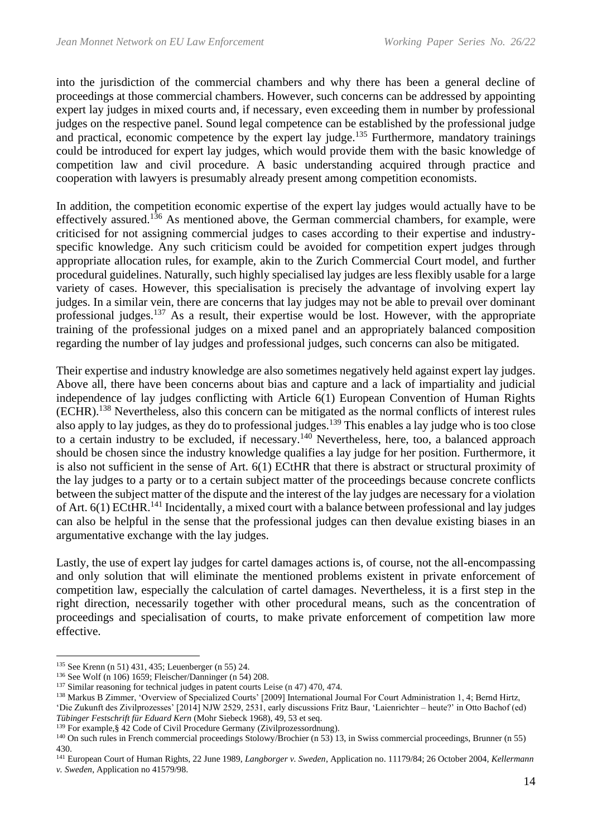into the jurisdiction of the commercial chambers and why there has been a general decline of proceedings at those commercial chambers. However, such concerns can be addressed by appointing expert lay judges in mixed courts and, if necessary, even exceeding them in number by professional judges on the respective panel. Sound legal competence can be established by the professional judge and practical, economic competence by the expert lay judge.<sup>135</sup> Furthermore, mandatory trainings could be introduced for expert lay judges, which would provide them with the basic knowledge of competition law and civil procedure. A basic understanding acquired through practice and cooperation with lawyers is presumably already present among competition economists.

In addition, the competition economic expertise of the expert lay judges would actually have to be effectively assured.<sup>136</sup> As mentioned above, the German commercial chambers, for example, were criticised for not assigning commercial judges to cases according to their expertise and industryspecific knowledge. Any such criticism could be avoided for competition expert judges through appropriate allocation rules, for example, akin to the Zurich Commercial Court model, and further procedural guidelines. Naturally, such highly specialised lay judges are less flexibly usable for a large variety of cases. However, this specialisation is precisely the advantage of involving expert lay judges. In a similar vein, there are concerns that lay judges may not be able to prevail over dominant professional judges.<sup>137</sup> As a result, their expertise would be lost. However, with the appropriate training of the professional judges on a mixed panel and an appropriately balanced composition regarding the number of lay judges and professional judges, such concerns can also be mitigated.

Their expertise and industry knowledge are also sometimes negatively held against expert lay judges. Above all, there have been concerns about bias and capture and a lack of impartiality and judicial independence of lay judges conflicting with Article 6(1) European Convention of Human Rights (ECHR). <sup>138</sup> Nevertheless, also this concern can be mitigated as the normal conflicts of interest rules also apply to lay judges, as they do to professional judges.<sup>139</sup> This enables a lay judge who is too close to a certain industry to be excluded, if necessary.<sup>140</sup> Nevertheless, here, too, a balanced approach should be chosen since the industry knowledge qualifies a lay judge for her position. Furthermore, it is also not sufficient in the sense of Art. 6(1) ECtHR that there is abstract or structural proximity of the lay judges to a party or to a certain subject matter of the proceedings because concrete conflicts between the subject matter of the dispute and the interest of the lay judges are necessary for a violation of Art. 6(1) ECtHR.<sup>141</sup> Incidentally, a mixed court with a balance between professional and lay judges can also be helpful in the sense that the professional judges can then devalue existing biases in an argumentative exchange with the lay judges.

Lastly, the use of expert lay judges for cartel damages actions is, of course, not the all-encompassing and only solution that will eliminate the mentioned problems existent in private enforcement of competition law, especially the calculation of cartel damages. Nevertheless, it is a first step in the right direction, necessarily together with other procedural means, such as the concentration of proceedings and specialisation of courts, to make private enforcement of competition law more effective.

<sup>140</sup> On such rules in French commercial proceedings Stolowy/Brochier (n 53) 13, in Swiss commercial proceedings, Brunner (n 55) 430.

<sup>135</sup> See Krenn (n 51) 431, 435; Leuenberger (n 55) 24.

<sup>136</sup> See Wolf (n 106) 1659; Fleischer/Danninger (n 54) 208.

<sup>137</sup> Similar reasoning for technical judges in patent courts Leise (n 47) 470, 474.

<sup>138</sup> Markus B Zimmer, 'Overview of Specialized Courts' [2009] International Journal For Court Administration 1, 4; Bernd Hirtz, 'Die Zukunft des Zivilprozesses' [2014] NJW 2529, 2531, early discussions Fritz Baur, 'Laienrichter – heute?' in Otto Bachof (ed) *Tübinger Festschrift für Eduard Kern* (Mohr Siebeck 1968), 49, 53 et seq.

<sup>139</sup> For example,§ 42 Code of Civil Procedure Germany (Zivilprozessordnung).

<sup>141</sup> European Court of Human Rights, 22 June 1989, *Langborger v. Sweden*, Application no. 11179/84; 26 October 2004, *Kellermann v. Sweden*, Application no 41579/98.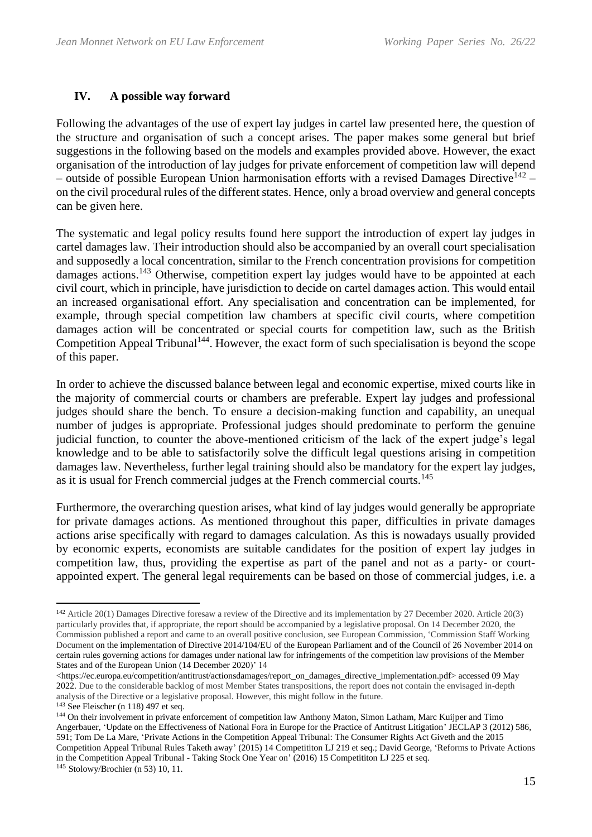# **IV. A possible way forward**

Following the advantages of the use of expert lay judges in cartel law presented here, the question of the structure and organisation of such a concept arises. The paper makes some general but brief suggestions in the following based on the models and examples provided above. However, the exact organisation of the introduction of lay judges for private enforcement of competition law will depend – outside of possible European Union harmonisation efforts with a revised Damages Directive<sup>142</sup> on the civil procedural rules of the different states. Hence, only a broad overview and general concepts can be given here.

The systematic and legal policy results found here support the introduction of expert lay judges in cartel damages law. Their introduction should also be accompanied by an overall court specialisation and supposedly a local concentration, similar to the French concentration provisions for competition damages actions.<sup>143</sup> Otherwise, competition expert lay judges would have to be appointed at each civil court, which in principle, have jurisdiction to decide on cartel damages action. This would entail an increased organisational effort. Any specialisation and concentration can be implemented, for example, through special competition law chambers at specific civil courts, where competition damages action will be concentrated or special courts for competition law, such as the British Competition Appeal Tribunal<sup>144</sup>. However, the exact form of such specialisation is beyond the scope of this paper.

In order to achieve the discussed balance between legal and economic expertise, mixed courts like in the majority of commercial courts or chambers are preferable. Expert lay judges and professional judges should share the bench. To ensure a decision-making function and capability, an unequal number of judges is appropriate. Professional judges should predominate to perform the genuine judicial function, to counter the above-mentioned criticism of the lack of the expert judge's legal knowledge and to be able to satisfactorily solve the difficult legal questions arising in competition damages law. Nevertheless, further legal training should also be mandatory for the expert lay judges, as it is usual for French commercial judges at the French commercial courts.<sup>145</sup>

Furthermore, the overarching question arises, what kind of lay judges would generally be appropriate for private damages actions. As mentioned throughout this paper, difficulties in private damages actions arise specifically with regard to damages calculation. As this is nowadays usually provided by economic experts, economists are suitable candidates for the position of expert lay judges in competition law, thus, providing the expertise as part of the panel and not as a party- or courtappointed expert. The general legal requirements can be based on those of commercial judges, i.e. a

<sup>142</sup> Article 20(1) Damages Directive foresaw a review of the Directive and its implementation by 27 December 2020. Article 20(3) particularly provides that, if appropriate, the report should be accompanied by a legislative proposal. On 14 December 2020, the Commission published a report and came to an overall positive conclusion, see European Commission, 'Commission Staff Working Document on the implementation of Directive 2014/104/EU of the European Parliament and of the Council of 26 November 2014 on certain rules governing actions for damages under national law for infringements of the competition law provisions of the Member States and of the European Union (14 December 2020)' 14

<sup>&</sup>lt;https://ec.europa.eu/competition/antitrust/actionsdamages/report\_on\_damages\_directive\_implementation.pdf> accessed 09 May 2022. Due to the considerable backlog of most Member States transpositions, the report does not contain the envisaged in-depth analysis of the Directive or a legislative proposal. However, this might follow in the future.

<sup>143</sup> See Fleischer (n 118) 497 et seq.

<sup>&</sup>lt;sup>144</sup> On their involvement in private enforcement of competition law Anthony Maton, Simon Latham, Marc Kuijper and Timo Angerbauer, 'Update on the Effectiveness of National Fora in Europe for the Practice of Antitrust Litigation' JECLAP 3 (2012) 586, 591; Tom De La Mare, 'Private Actions in the Competition Appeal Tribunal: The Consumer Rights Act Giveth and the 2015 Competition Appeal Tribunal Rules Taketh away' (2015) 14 Competititon LJ 219 et seq.; David George, 'Reforms to Private Actions in the Competition Appeal Tribunal - Taking Stock One Year on' (2016) 15 Competititon LJ 225 et seq.

<sup>145</sup> Stolowy/Brochier (n 53) 10, 11.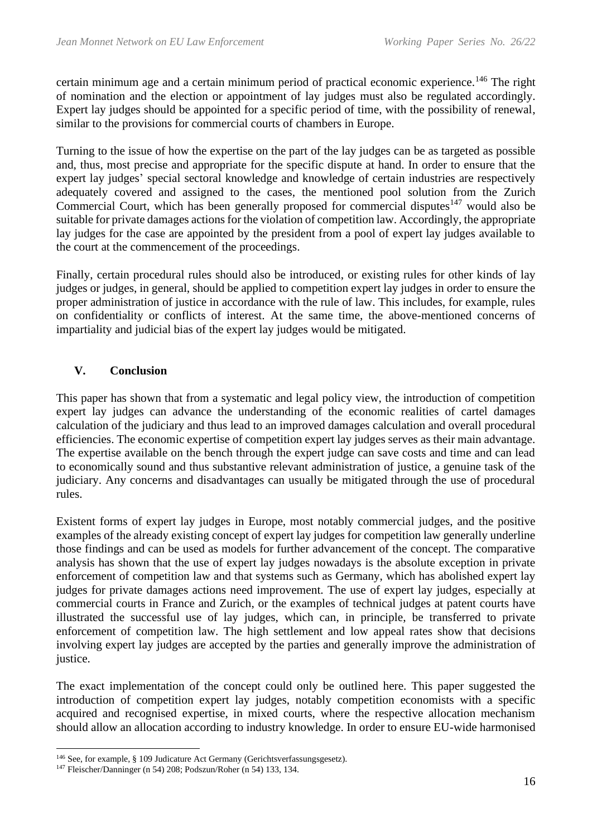certain minimum age and a certain minimum period of practical economic experience.<sup>146</sup> The right of nomination and the election or appointment of lay judges must also be regulated accordingly. Expert lay judges should be appointed for a specific period of time, with the possibility of renewal, similar to the provisions for commercial courts of chambers in Europe.

Turning to the issue of how the expertise on the part of the lay judges can be as targeted as possible and, thus, most precise and appropriate for the specific dispute at hand. In order to ensure that the expert lay judges' special sectoral knowledge and knowledge of certain industries are respectively adequately covered and assigned to the cases, the mentioned pool solution from the Zurich Commercial Court, which has been generally proposed for commercial disputes<sup>147</sup> would also be suitable for private damages actions for the violation of competition law. Accordingly, the appropriate lay judges for the case are appointed by the president from a pool of expert lay judges available to the court at the commencement of the proceedings.

Finally, certain procedural rules should also be introduced, or existing rules for other kinds of lay judges or judges, in general, should be applied to competition expert lay judges in order to ensure the proper administration of justice in accordance with the rule of law. This includes, for example, rules on confidentiality or conflicts of interest. At the same time, the above-mentioned concerns of impartiality and judicial bias of the expert lay judges would be mitigated.

# **V. Conclusion**

This paper has shown that from a systematic and legal policy view, the introduction of competition expert lay judges can advance the understanding of the economic realities of cartel damages calculation of the judiciary and thus lead to an improved damages calculation and overall procedural efficiencies. The economic expertise of competition expert lay judges serves as their main advantage. The expertise available on the bench through the expert judge can save costs and time and can lead to economically sound and thus substantive relevant administration of justice, a genuine task of the judiciary. Any concerns and disadvantages can usually be mitigated through the use of procedural rules.

Existent forms of expert lay judges in Europe, most notably commercial judges, and the positive examples of the already existing concept of expert lay judges for competition law generally underline those findings and can be used as models for further advancement of the concept. The comparative analysis has shown that the use of expert lay judges nowadays is the absolute exception in private enforcement of competition law and that systems such as Germany, which has abolished expert lay judges for private damages actions need improvement. The use of expert lay judges, especially at commercial courts in France and Zurich, or the examples of technical judges at patent courts have illustrated the successful use of lay judges, which can, in principle, be transferred to private enforcement of competition law. The high settlement and low appeal rates show that decisions involving expert lay judges are accepted by the parties and generally improve the administration of justice.

The exact implementation of the concept could only be outlined here. This paper suggested the introduction of competition expert lay judges, notably competition economists with a specific acquired and recognised expertise, in mixed courts, where the respective allocation mechanism should allow an allocation according to industry knowledge. In order to ensure EU-wide harmonised

<sup>146</sup> See, for example, § 109 Judicature Act Germany (Gerichtsverfassungsgesetz).

<sup>147</sup> Fleischer/Danninger (n 54) 208; Podszun/Roher (n 54) 133, 134.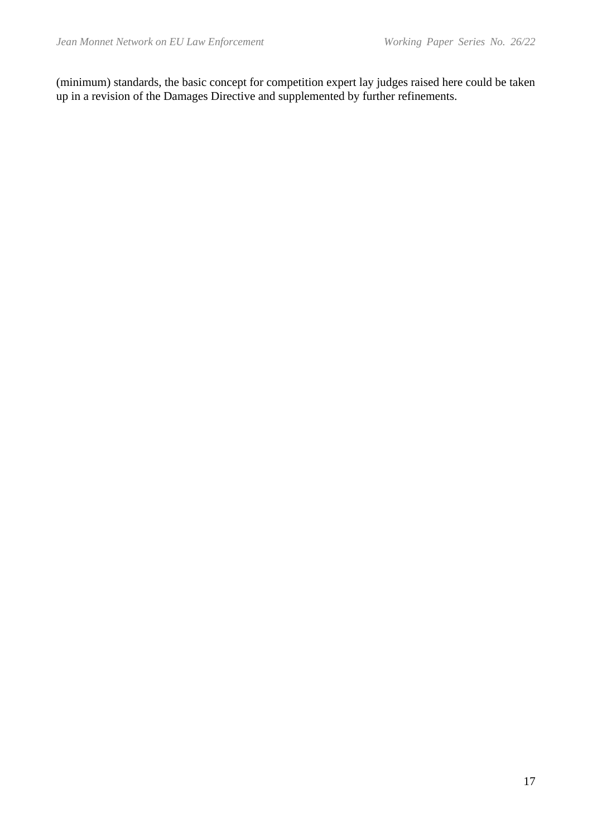(minimum) standards, the basic concept for competition expert lay judges raised here could be taken up in a revision of the Damages Directive and supplemented by further refinements.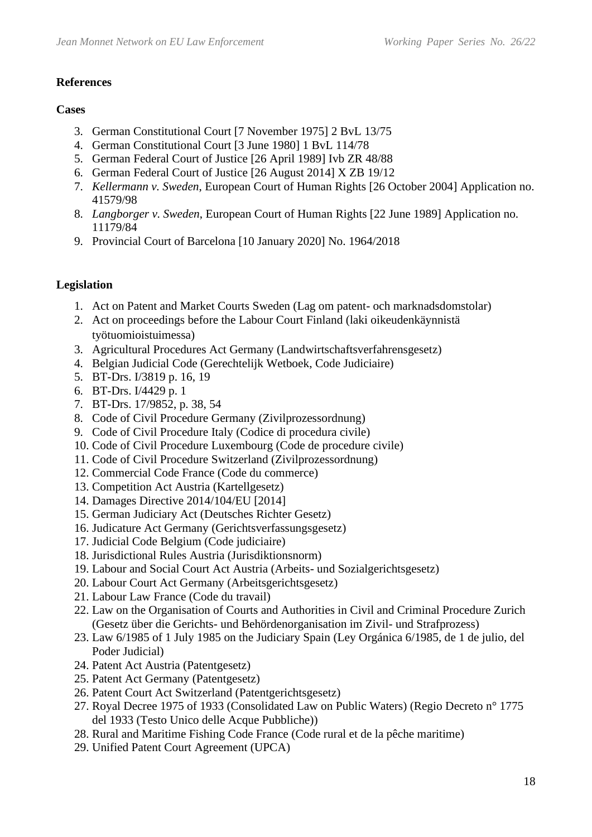#### **References**

### **Cases**

- 3. German Constitutional Court [7 November 1975] 2 BvL 13/75
- 4. German Constitutional Court [3 June 1980] 1 BvL 114/78
- 5. German Federal Court of Justice [26 April 1989] Ivb ZR 48/88
- 6. German Federal Court of Justice [26 August 2014] X ZB 19/12
- 7. *Kellermann v. Sweden*, European Court of Human Rights [26 October 2004] Application no. 41579/98
- 8. *Langborger v. Sweden*, European Court of Human Rights [22 June 1989] Application no. 11179/84
- 9. Provincial Court of Barcelona [10 January 2020] No. 1964/2018

# **Legislation**

- 1. Act on Patent and Market Courts Sweden (Lag om patent- och marknadsdomstolar)
- 2. Act on proceedings before the Labour Court Finland (laki oikeudenkäynnistä työtuomioistuimessa)
- 3. Agricultural Procedures Act Germany (Landwirtschaftsverfahrensgesetz)
- 4. Belgian Judicial Code (Gerechtelijk Wetboek, Code Judiciaire)
- 5. BT-Drs. I/3819 p. 16, 19
- 6. BT-Drs. I/4429 p. 1
- 7. BT-Drs. 17/9852, p. 38, 54
- 8. Code of Civil Procedure Germany (Zivilprozessordnung)
- 9. Code of Civil Procedure Italy (Codice di procedura civile)
- 10. Code of Civil Procedure Luxembourg (Code de procedure civile)
- 11. Code of Civil Procedure Switzerland (Zivilprozessordnung)
- 12. Commercial Code France (Code du commerce)
- 13. Competition Act Austria (Kartellgesetz)
- 14. Damages Directive 2014/104/EU [2014]
- 15. German Judiciary Act (Deutsches Richter Gesetz)
- 16. Judicature Act Germany (Gerichtsverfassungsgesetz)
- 17. Judicial Code Belgium (Code judiciaire)
- 18. Jurisdictional Rules Austria (Jurisdiktionsnorm)
- 19. Labour and Social Court Act Austria (Arbeits- und Sozialgerichtsgesetz)
- 20. Labour Court Act Germany (Arbeitsgerichtsgesetz)
- 21. Labour Law France (Code du travail)
- 22. Law on the Organisation of Courts and Authorities in Civil and Criminal Procedure Zurich (Gesetz über die Gerichts- und Behördenorganisation im Zivil- und Strafprozess)
- 23. Law 6/1985 of 1 July 1985 on the Judiciary Spain (Ley Orgánica 6/1985, de 1 de julio, del Poder Judicial)
- 24. Patent Act Austria (Patentgesetz)
- 25. Patent Act Germany (Patentgesetz)
- 26. Patent Court Act Switzerland (Patentgerichtsgesetz)
- 27. Royal Decree 1975 of 1933 (Consolidated Law on Public Waters) (Regio Decreto n° 1775 del 1933 (Testo Unico delle Acque Pubbliche))
- 28. Rural and Maritime Fishing Code France (Code rural et de la pêche maritime)
- 29. Unified Patent Court Agreement (UPCA)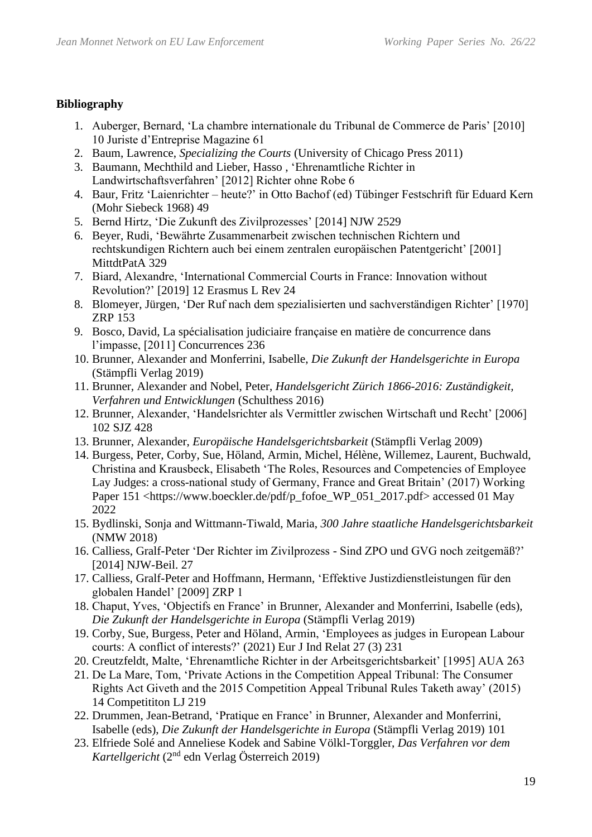### **Bibliography**

- 1. Auberger, Bernard, 'La chambre internationale du Tribunal de Commerce de Paris' [2010] 10 Juriste d'Entreprise Magazine 61
- 2. Baum, Lawrence, *Specializing the Courts* (University of Chicago Press 2011)
- 3. Baumann, Mechthild and Lieber, Hasso , 'Ehrenamtliche Richter in Landwirtschaftsverfahren' [2012] Richter ohne Robe 6
- 4. Baur, Fritz 'Laienrichter heute?' in Otto Bachof (ed) Tübinger Festschrift für Eduard Kern (Mohr Siebeck 1968) 49
- 5. Bernd Hirtz, 'Die Zukunft des Zivilprozesses' [2014] NJW 2529
- 6. Beyer, Rudi, 'Bewährte Zusammenarbeit zwischen technischen Richtern und rechtskundigen Richtern auch bei einem zentralen europäischen Patentgericht' [2001] MittdtPatA 329
- 7. Biard, Alexandre, 'International Commercial Courts in France: Innovation without Revolution?' [2019] 12 Erasmus L Rev 24
- 8. Blomeyer, Jürgen, 'Der Ruf nach dem spezialisierten und sachverständigen Richter' [1970] ZRP 153
- 9. Bosco, David, La spécialisation judiciaire française en matière de concurrence dans l'impasse, [2011] Concurrences 236
- 10. Brunner, Alexander and Monferrini, Isabelle, *Die Zukunft der Handelsgerichte in Europa* (Stämpfli Verlag 2019)
- 11. Brunner, Alexander and Nobel, Peter, *Handelsgericht Zürich 1866-2016: Zuständigkeit, Verfahren und Entwicklungen* (Schulthess 2016)
- 12. Brunner, Alexander, 'Handelsrichter als Vermittler zwischen Wirtschaft und Recht' [2006] 102 SJZ 428
- 13. Brunner, Alexander, *Europäische Handelsgerichtsbarkeit* (Stämpfli Verlag 2009)
- 14. Burgess, Peter, Corby, Sue, Höland, Armin, Michel, Hélène, Willemez, Laurent, Buchwald, Christina and Krausbeck, Elisabeth 'The Roles, Resources and Competencies of Employee Lay Judges: a cross-national study of Germany, France and Great Britain' (2017) Working Paper 151 <https://www.boeckler.de/pdf/p\_fofoe\_WP\_051\_2017.pdf> accessed 01 May 2022
- 15. Bydlinski, Sonja and Wittmann-Tiwald, Maria, *300 Jahre staatliche Handelsgerichtsbarkeit* (NMW 2018)
- 16. Calliess, Gralf-Peter 'Der Richter im Zivilprozess Sind ZPO und GVG noch zeitgemäß?' [2014] NJW-Beil. 27
- 17. Calliess, Gralf-Peter and Hoffmann, Hermann, 'Effektive Justizdienstleistungen für den globalen Handel' [2009] ZRP 1
- 18. Chaput, Yves, 'Objectifs en France' in Brunner, Alexander and Monferrini, Isabelle (eds), *Die Zukunft der Handelsgerichte in Europa* (Stämpfli Verlag 2019)
- 19. Corby, Sue, Burgess, Peter and Höland, Armin, 'Employees as judges in European Labour courts: A conflict of interests?' (2021) Eur J Ind Relat 27 (3) 231
- 20. Creutzfeldt, Malte, 'Ehrenamtliche Richter in der Arbeitsgerichtsbarkeit' [1995] AUA 263
- 21. De La Mare, Tom, 'Private Actions in the Competition Appeal Tribunal: The Consumer Rights Act Giveth and the 2015 Competition Appeal Tribunal Rules Taketh away' (2015) 14 Competititon LJ 219
- 22. Drummen, Jean-Betrand, 'Pratique en France' in Brunner, Alexander and Monferrini, Isabelle (eds), *Die Zukunft der Handelsgerichte in Europa* (Stämpfli Verlag 2019) 101
- 23. Elfriede Solé and Anneliese Kodek and Sabine Völkl-Torggler, *Das Verfahren vor dem Kartellgericht* (2nd edn Verlag Österreich 2019)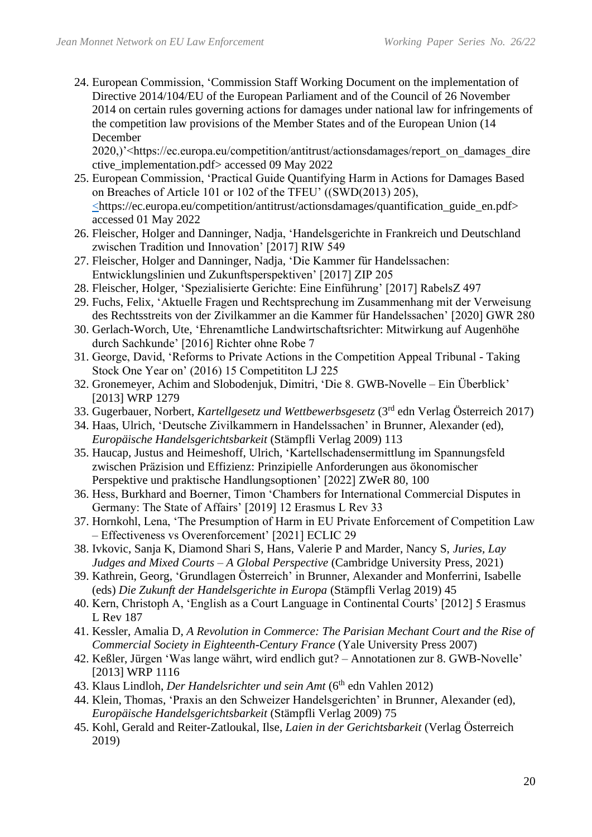24. European Commission, 'Commission Staff Working Document on the implementation of Directive 2014/104/EU of the European Parliament and of the Council of 26 November 2014 on certain rules governing actions for damages under national law for infringements of the competition law provisions of the Member States and of the European Union (14 December

2020,)'<https://ec.europa.eu/competition/antitrust/actionsdamages/report\_on\_damages\_dire ctive\_implementation.pdf> accessed 09 May 2022

- 25. European Commission, 'Practical Guide Quantifying Harm in Actions for Damages Based on Breaches of Article 101 or 102 of the TFEU' ((SWD(2013) 205), <https://ec.europa.eu/competition/antitrust/actionsdamages/quantification\_guide\_en.pdf> accessed 01 May 2022
- 26. Fleischer, Holger and Danninger, Nadja, 'Handelsgerichte in Frankreich und Deutschland zwischen Tradition und Innovation' [2017] RIW 549
- 27. Fleischer, Holger and Danninger, Nadja, 'Die Kammer für Handelssachen: Entwicklungslinien und Zukunftsperspektiven' [2017] ZIP 205
- 28. Fleischer, Holger, 'Spezialisierte Gerichte: Eine Einführung' [2017] RabelsZ 497
- 29. Fuchs, Felix, 'Aktuelle Fragen und Rechtsprechung im Zusammenhang mit der Verweisung des Rechtsstreits von der Zivilkammer an die Kammer für Handelssachen' [2020] GWR 280
- 30. Gerlach-Worch, Ute, 'Ehrenamtliche Landwirtschaftsrichter: Mitwirkung auf Augenhöhe durch Sachkunde' [2016] Richter ohne Robe 7
- 31. George, David, 'Reforms to Private Actions in the Competition Appeal Tribunal Taking Stock One Year on' (2016) 15 Competititon LJ 225
- 32. Gronemeyer, Achim and Slobodenjuk, Dimitri, 'Die 8. GWB-Novelle Ein Überblick' [2013] WRP 1279
- 33. Gugerbauer, Norbert, *Kartellgesetz und Wettbewerbsgesetz* (3rd edn Verlag Österreich 2017)
- 34. Haas, Ulrich, 'Deutsche Zivilkammern in Handelssachen' in Brunner, Alexander (ed), *Europäische Handelsgerichtsbarkeit* (Stämpfli Verlag 2009) 113
- 35. Haucap, Justus and Heimeshoff, Ulrich, 'Kartellschadensermittlung im Spannungsfeld zwischen Präzision und Effizienz: Prinzipielle Anforderungen aus ökonomischer Perspektive und praktische Handlungsoptionen' [2022] ZWeR 80, 100
- 36. Hess, Burkhard and Boerner, Timon 'Chambers for International Commercial Disputes in Germany: The State of Affairs' [2019] 12 Erasmus L Rev 33
- 37. Hornkohl, Lena, 'The Presumption of Harm in EU Private Enforcement of Competition Law – Effectiveness vs Overenforcement' [2021] ECLIC 29
- 38. Ivkovic, Sanja K, Diamond Shari S, Hans, Valerie P and Marder, Nancy S, *Juries, Lay Judges and Mixed Courts – A Global Perspective* (Cambridge University Press, 2021)
- 39. Kathrein, Georg, 'Grundlagen Österreich' in Brunner, Alexander and Monferrini, Isabelle (eds) *Die Zukunft der Handelsgerichte in Europa* (Stämpfli Verlag 2019) 45
- 40. Kern, Christoph A, 'English as a Court Language in Continental Courts' [2012] 5 Erasmus L Rev 187
- 41. Kessler, Amalia D, *A Revolution in Commerce: The Parisian Mechant Court and the Rise of Commercial Society in Eighteenth-Century France* (Yale University Press 2007)
- 42. Keßler, Jürgen 'Was lange währt, wird endlich gut? Annotationen zur 8. GWB-Novelle' [2013] WRP 1116
- 43. Klaus Lindloh, *Der Handelsrichter und sein Amt* (6<sup>th</sup> edn Vahlen 2012)
- 44. Klein, Thomas, 'Praxis an den Schweizer Handelsgerichten' in Brunner, Alexander (ed), *Europäische Handelsgerichtsbarkeit* (Stämpfli Verlag 2009) 75
- 45. Kohl, Gerald and Reiter-Zatloukal, Ilse, *Laien in der Gerichtsbarkeit* (Verlag Österreich 2019)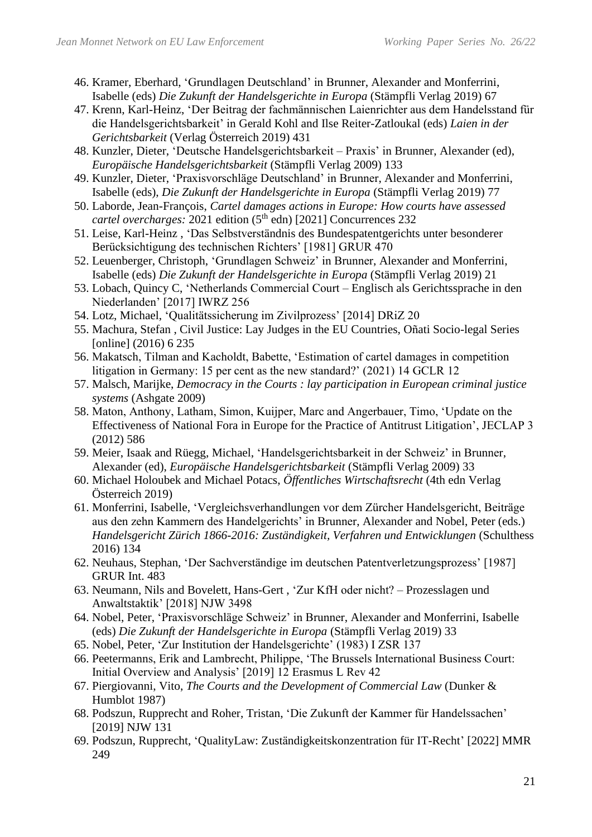- 46. Kramer, Eberhard, 'Grundlagen Deutschland' in Brunner, Alexander and Monferrini, Isabelle (eds) *Die Zukunft der Handelsgerichte in Europa* (Stämpfli Verlag 2019) 67
- 47. Krenn, Karl-Heinz, 'Der Beitrag der fachmännischen Laienrichter aus dem Handelsstand für die Handelsgerichtsbarkeit' in Gerald Kohl and Ilse Reiter-Zatloukal (eds) *Laien in der Gerichtsbarkeit* (Verlag Österreich 2019) 431
- 48. Kunzler, Dieter, 'Deutsche Handelsgerichtsbarkeit Praxis' in Brunner, Alexander (ed), *Europäische Handelsgerichtsbarkeit* (Stämpfli Verlag 2009) 133
- 49. Kunzler, Dieter, 'Praxisvorschläge Deutschland' in Brunner, Alexander and Monferrini, Isabelle (eds), *Die Zukunft der Handelsgerichte in Europa* (Stämpfli Verlag 2019) 77
- 50. Laborde, Jean-François, *Cartel damages actions in Europe: How courts have assessed cartel overcharges:* 2021 edition (5<sup>th</sup> edn) [2021] Concurrences 232
- 51. Leise, Karl-Heinz , 'Das Selbstverständnis des Bundespatentgerichts unter besonderer Berücksichtigung des technischen Richters' [1981] GRUR 470
- 52. Leuenberger, Christoph, 'Grundlagen Schweiz' in Brunner, Alexander and Monferrini, Isabelle (eds) *Die Zukunft der Handelsgerichte in Europa* (Stämpfli Verlag 2019) 21
- 53. Lobach, Quincy C, 'Netherlands Commercial Court Englisch als Gerichtssprache in den Niederlanden' [2017] IWRZ 256
- 54. Lotz, Michael, 'Qualitätssicherung im Zivilprozess' [2014] DRiZ 20
- 55. Machura, Stefan , Civil Justice: Lay Judges in the EU Countries, Oñati Socio-legal Series [online] (2016) 6 235
- 56. Makatsch, Tilman and Kacholdt, Babette, 'Estimation of cartel damages in competition litigation in Germany: 15 per cent as the new standard?' (2021) 14 GCLR 12
- 57. Malsch, Marijke, *Democracy in the Courts : lay participation in European criminal justice systems* (Ashgate 2009)
- 58. Maton, Anthony, Latham, Simon, Kuijper, Marc and Angerbauer, Timo, 'Update on the Effectiveness of National Fora in Europe for the Practice of Antitrust Litigation', JECLAP 3 (2012) 586
- 59. Meier, Isaak and Rüegg, Michael, 'Handelsgerichtsbarkeit in der Schweiz' in Brunner, Alexander (ed), *Europäische Handelsgerichtsbarkeit* (Stämpfli Verlag 2009) 33
- 60. Michael Holoubek and Michael Potacs, *Öffentliches Wirtschaftsrecht* (4th edn Verlag Österreich 2019)
- 61. Monferrini, Isabelle, 'Vergleichsverhandlungen vor dem Zürcher Handelsgericht, Beiträge aus den zehn Kammern des Handelgerichts' in Brunner, Alexander and Nobel, Peter (eds.) *Handelsgericht Zürich 1866-2016: Zuständigkeit, Verfahren und Entwicklungen* (Schulthess 2016) 134
- 62. Neuhaus, Stephan, 'Der Sachverständige im deutschen Patentverletzungsprozess' [1987] GRUR Int. 483
- 63. Neumann, Nils and Bovelett, Hans-Gert , 'Zur KfH oder nicht? Prozesslagen und Anwaltstaktik' [2018] NJW 3498
- 64. Nobel, Peter, 'Praxisvorschläge Schweiz' in Brunner, Alexander and Monferrini, Isabelle (eds) *Die Zukunft der Handelsgerichte in Europa* (Stämpfli Verlag 2019) 33
- 65. Nobel, Peter, 'Zur Institution der Handelsgerichte' (1983) I ZSR 137
- 66. Peetermanns, Erik and Lambrecht, Philippe, 'The Brussels International Business Court: Initial Overview and Analysis' [2019] 12 Erasmus L Rev 42
- 67. Piergiovanni, Vito, *The Courts and the Development of Commercial Law* (Dunker & Humblot 1987)
- 68. Podszun, Rupprecht and Roher, Tristan, 'Die Zukunft der Kammer für Handelssachen' [2019] NJW 131
- 69. Podszun, Rupprecht, 'QualityLaw: Zuständigkeitskonzentration für IT-Recht' [2022] MMR 249